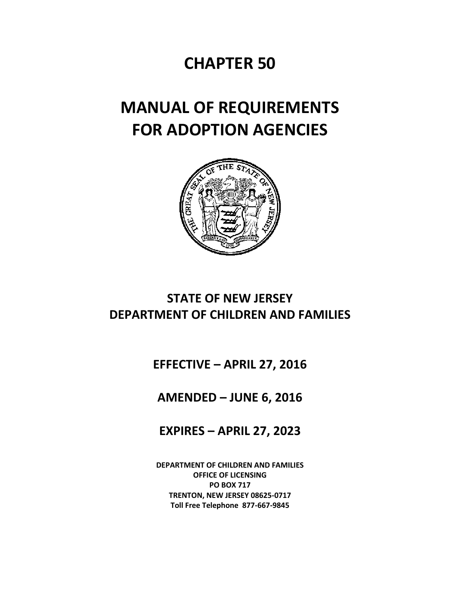## **CHAPTER 50**

# **MANUAL OF REQUIREMENTS FOR ADOPTION AGENCIES**



## **STATE OF NEW JERSEY DEPARTMENT OF CHILDREN AND FAMILIES**

## **EFFECTIVE – APRIL 27, 2016**

## **AMENDED – JUNE 6, 2016**

## **EXPIRES – APRIL 27, 2023**

**DEPARTMENT OF CHILDREN AND FAMILIES OFFICE OF LICENSING PO BOX 717 TRENTON, NEW JERSEY 08625-0717 Toll Free Telephone 877-667-9845**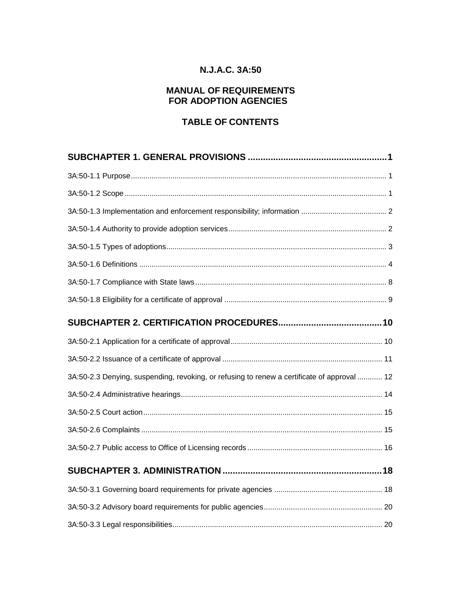### **N.J.A.C. 3A:50**

#### **MANUAL OF REQUIREMENTS FOR ADOPTION AGENCIES**

### **TABLE OF CONTENTS**

| 3A:50-2.3 Denying, suspending, revoking, or refusing to renew a certificate of approval  12 |  |
|---------------------------------------------------------------------------------------------|--|
|                                                                                             |  |
|                                                                                             |  |
|                                                                                             |  |
|                                                                                             |  |
|                                                                                             |  |
|                                                                                             |  |
|                                                                                             |  |
|                                                                                             |  |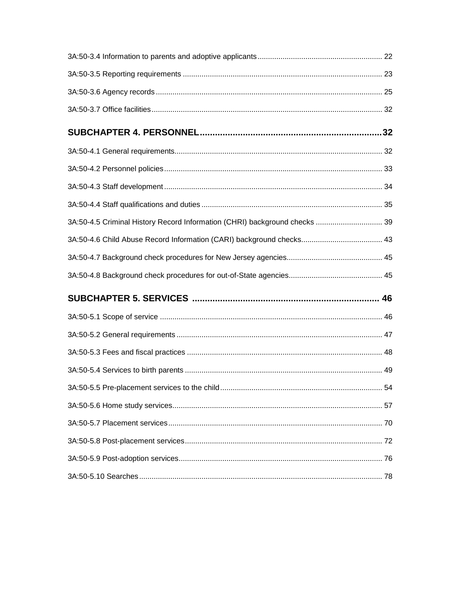| 3A:50-4.5 Criminal History Record Information (CHRI) background checks  39 |  |
|----------------------------------------------------------------------------|--|
|                                                                            |  |
|                                                                            |  |
|                                                                            |  |
|                                                                            |  |
|                                                                            |  |
|                                                                            |  |
|                                                                            |  |
|                                                                            |  |
|                                                                            |  |
|                                                                            |  |
|                                                                            |  |
|                                                                            |  |
|                                                                            |  |
|                                                                            |  |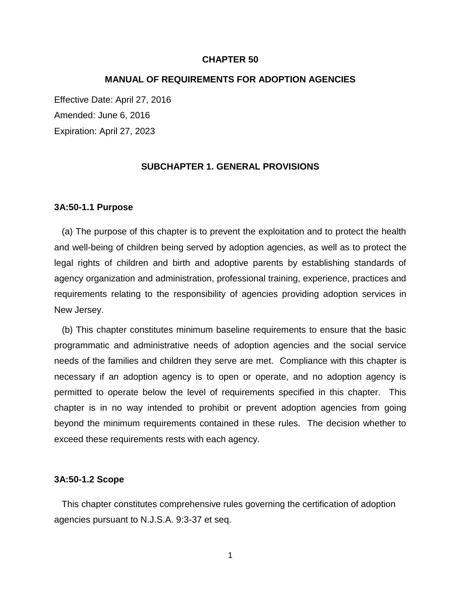#### **CHAPTER 50**

#### **MANUAL OF REQUIREMENTS FOR ADOPTION AGENCIES**

Effective Date: April 27, 2016 Amended: June 6, 2016 Expiration: April 27, 2023

#### **SUBCHAPTER 1. GENERAL PROVISIONS**

#### **3A:50-1.1 Purpose**

 (a) The purpose of this chapter is to prevent the exploitation and to protect the health and well-being of children being served by adoption agencies, as well as to protect the legal rights of children and birth and adoptive parents by establishing standards of agency organization and administration, professional training, experience, practices and requirements relating to the responsibility of agencies providing adoption services in New Jersey.

 (b) This chapter constitutes minimum baseline requirements to ensure that the basic programmatic and administrative needs of adoption agencies and the social service needs of the families and children they serve are met. Compliance with this chapter is necessary if an adoption agency is to open or operate, and no adoption agency is permitted to operate below the level of requirements specified in this chapter. This chapter is in no way intended to prohibit or prevent adoption agencies from going beyond the minimum requirements contained in these rules. The decision whether to exceed these requirements rests with each agency.

#### **3A:50-1.2 Scope**

 This chapter constitutes comprehensive rules governing the certification of adoption agencies pursuant to N.J.S.A. 9:3-37 et seq.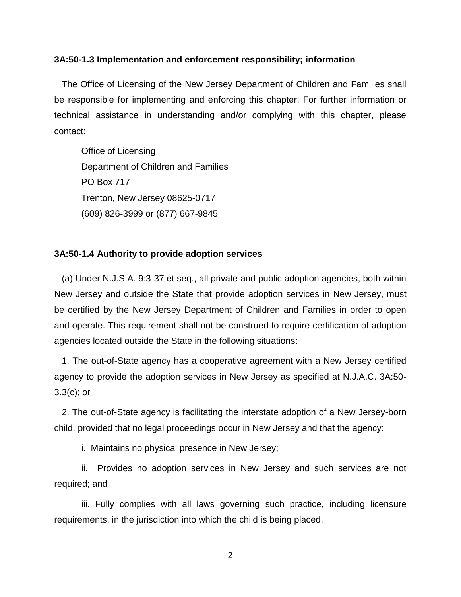#### **3A:50-1.3 Implementation and enforcement responsibility; information**

 The Office of Licensing of the New Jersey Department of Children and Families shall be responsible for implementing and enforcing this chapter. For further information or technical assistance in understanding and/or complying with this chapter, please contact:

Office of Licensing Department of Children and Families PO Box 717 Trenton, New Jersey 08625-0717 (609) 826-3999 or (877) 667-9845

#### **3A:50-1.4 Authority to provide adoption services**

 (a) Under N.J.S.A. 9:3-37 et seq., all private and public adoption agencies, both within New Jersey and outside the State that provide adoption services in New Jersey, must be certified by the New Jersey Department of Children and Families in order to open and operate. This requirement shall not be construed to require certification of adoption agencies located outside the State in the following situations:

 1. The out-of-State agency has a cooperative agreement with a New Jersey certified agency to provide the adoption services in New Jersey as specified at N.J.A.C. 3A:50- 3.3(c); or

 2. The out-of-State agency is facilitating the interstate adoption of a New Jersey-born child, provided that no legal proceedings occur in New Jersey and that the agency:

i. Maintains no physical presence in New Jersey;

ii. Provides no adoption services in New Jersey and such services are not required; and

iii. Fully complies with all laws governing such practice, including licensure requirements, in the jurisdiction into which the child is being placed.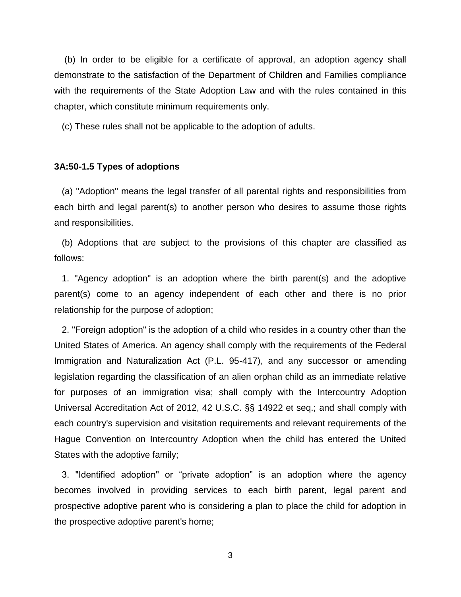(b) In order to be eligible for a certificate of approval, an adoption agency shall demonstrate to the satisfaction of the Department of Children and Families compliance with the requirements of the State Adoption Law and with the rules contained in this chapter, which constitute minimum requirements only.

(c) These rules shall not be applicable to the adoption of adults.

#### **3A:50-1.5 Types of adoptions**

 (a) "Adoption" means the legal transfer of all parental rights and responsibilities from each birth and legal parent(s) to another person who desires to assume those rights and responsibilities.

 (b) Adoptions that are subject to the provisions of this chapter are classified as follows:

 1. "Agency adoption" is an adoption where the birth parent(s) and the adoptive parent(s) come to an agency independent of each other and there is no prior relationship for the purpose of adoption;

 2. "Foreign adoption" is the adoption of a child who resides in a country other than the United States of America. An agency shall comply with the requirements of the Federal Immigration and Naturalization Act (P.L. 95-417), and any successor or amending legislation regarding the classification of an alien orphan child as an immediate relative for purposes of an immigration visa; shall comply with the Intercountry Adoption Universal Accreditation Act of 2012, 42 U.S.C. §§ 14922 et seq.; and shall comply with each country's supervision and visitation requirements and relevant requirements of the Hague Convention on Intercountry Adoption when the child has entered the United States with the adoptive family;

 3. "Identified adoption" or "private adoption" is an adoption where the agency becomes involved in providing services to each birth parent, legal parent and prospective adoptive parent who is considering a plan to place the child for adoption in the prospective adoptive parent's home;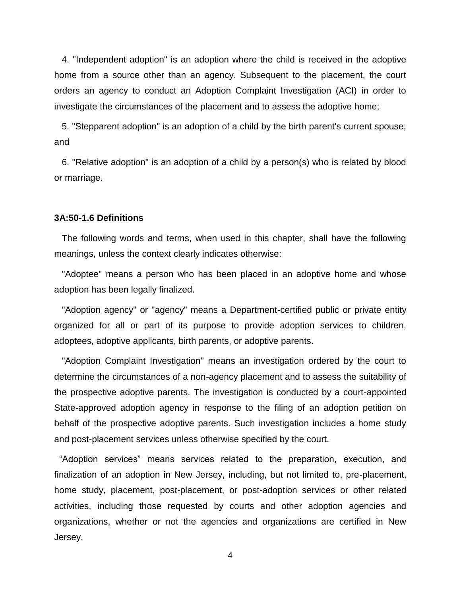4. "Independent adoption" is an adoption where the child is received in the adoptive home from a source other than an agency. Subsequent to the placement, the court orders an agency to conduct an Adoption Complaint Investigation (ACI) in order to investigate the circumstances of the placement and to assess the adoptive home;

 5. "Stepparent adoption" is an adoption of a child by the birth parent's current spouse; and

 6. "Relative adoption" is an adoption of a child by a person(s) who is related by blood or marriage.

#### **3A:50-1.6 Definitions**

 The following words and terms, when used in this chapter, shall have the following meanings, unless the context clearly indicates otherwise:

 "Adoptee" means a person who has been placed in an adoptive home and whose adoption has been legally finalized.

 "Adoption agency" or "agency" means a Department-certified public or private entity organized for all or part of its purpose to provide adoption services to children, adoptees, adoptive applicants, birth parents, or adoptive parents.

 "Adoption Complaint Investigation" means an investigation ordered by the court to determine the circumstances of a non-agency placement and to assess the suitability of the prospective adoptive parents. The investigation is conducted by a court-appointed State-approved adoption agency in response to the filing of an adoption petition on behalf of the prospective adoptive parents. Such investigation includes a home study and post-placement services unless otherwise specified by the court.

"Adoption services" means services related to the preparation, execution, and finalization of an adoption in New Jersey, including, but not limited to, pre-placement, home study, placement, post-placement, or post-adoption services or other related activities, including those requested by courts and other adoption agencies and organizations, whether or not the agencies and organizations are certified in New Jersey.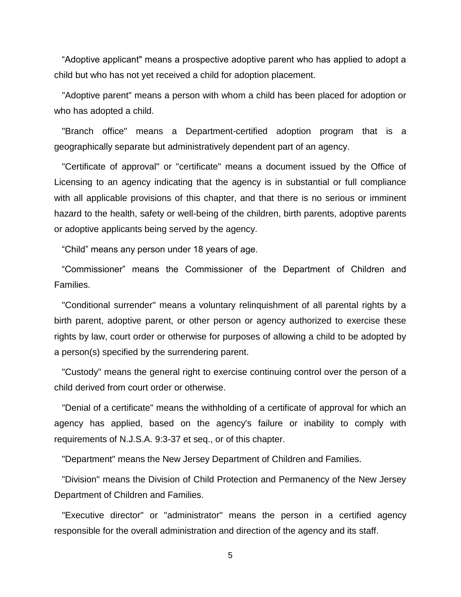"Adoptive applicant" means a prospective adoptive parent who has applied to adopt a child but who has not yet received a child for adoption placement.

 "Adoptive parent" means a person with whom a child has been placed for adoption or who has adopted a child.

 "Branch office" means a Department-certified adoption program that is a geographically separate but administratively dependent part of an agency.

 "Certificate of approval" or "certificate" means a document issued by the Office of Licensing to an agency indicating that the agency is in substantial or full compliance with all applicable provisions of this chapter, and that there is no serious or imminent hazard to the health, safety or well-being of the children, birth parents, adoptive parents or adoptive applicants being served by the agency.

"Child" means any person under 18 years of age.

 "Commissioner" means the Commissioner of the Department of Children and Families.

 "Conditional surrender" means a voluntary relinquishment of all parental rights by a birth parent, adoptive parent, or other person or agency authorized to exercise these rights by law, court order or otherwise for purposes of allowing a child to be adopted by a person(s) specified by the surrendering parent.

 "Custody" means the general right to exercise continuing control over the person of a child derived from court order or otherwise.

 "Denial of a certificate" means the withholding of a certificate of approval for which an agency has applied, based on the agency's failure or inability to comply with requirements of N.J.S.A. 9:3-37 et seq., or of this chapter.

"Department" means the New Jersey Department of Children and Families.

 "Division" means the Division of Child Protection and Permanency of the New Jersey Department of Children and Families.

 "Executive director" or "administrator" means the person in a certified agency responsible for the overall administration and direction of the agency and its staff.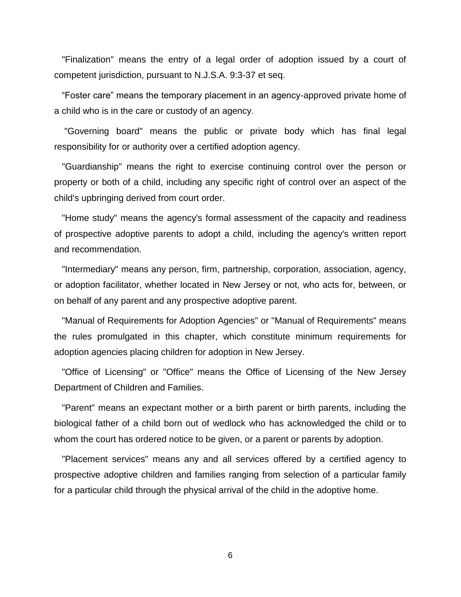"Finalization" means the entry of a legal order of adoption issued by a court of competent jurisdiction, pursuant to N.J.S.A. 9:3-37 et seq.

 "Foster care" means the temporary placement in an agency-approved private home of a child who is in the care or custody of an agency.

 "Governing board" means the public or private body which has final legal responsibility for or authority over a certified adoption agency.

 "Guardianship" means the right to exercise continuing control over the person or property or both of a child, including any specific right of control over an aspect of the child's upbringing derived from court order.

 "Home study" means the agency's formal assessment of the capacity and readiness of prospective adoptive parents to adopt a child, including the agency's written report and recommendation.

 "Intermediary" means any person, firm, partnership, corporation, association, agency, or adoption facilitator, whether located in New Jersey or not, who acts for, between, or on behalf of any parent and any prospective adoptive parent.

 "Manual of Requirements for Adoption Agencies" or "Manual of Requirements" means the rules promulgated in this chapter, which constitute minimum requirements for adoption agencies placing children for adoption in New Jersey.

 "Office of Licensing" or "Office" means the Office of Licensing of the New Jersey Department of Children and Families.

 "Parent" means an expectant mother or a birth parent or birth parents, including the biological father of a child born out of wedlock who has acknowledged the child or to whom the court has ordered notice to be given, or a parent or parents by adoption.

 "Placement services" means any and all services offered by a certified agency to prospective adoptive children and families ranging from selection of a particular family for a particular child through the physical arrival of the child in the adoptive home.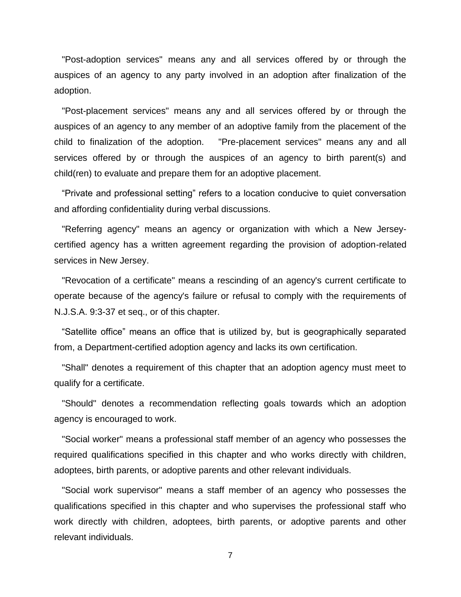"Post-adoption services" means any and all services offered by or through the auspices of an agency to any party involved in an adoption after finalization of the adoption.

 "Post-placement services" means any and all services offered by or through the auspices of an agency to any member of an adoptive family from the placement of the child to finalization of the adoption. "Pre-placement services" means any and all services offered by or through the auspices of an agency to birth parent(s) and child(ren) to evaluate and prepare them for an adoptive placement.

 "Private and professional setting" refers to a location conducive to quiet conversation and affording confidentiality during verbal discussions.

 "Referring agency" means an agency or organization with which a New Jerseycertified agency has a written agreement regarding the provision of adoption-related services in New Jersey.

 "Revocation of a certificate" means a rescinding of an agency's current certificate to operate because of the agency's failure or refusal to comply with the requirements of N.J.S.A. 9:3-37 et seq., or of this chapter.

"Satellite office" means an office that is utilized by, but is geographically separated from, a Department-certified adoption agency and lacks its own certification.

 "Shall" denotes a requirement of this chapter that an adoption agency must meet to qualify for a certificate.

 "Should" denotes a recommendation reflecting goals towards which an adoption agency is encouraged to work.

 "Social worker" means a professional staff member of an agency who possesses the required qualifications specified in this chapter and who works directly with children, adoptees, birth parents, or adoptive parents and other relevant individuals.

 "Social work supervisor" means a staff member of an agency who possesses the qualifications specified in this chapter and who supervises the professional staff who work directly with children, adoptees, birth parents, or adoptive parents and other relevant individuals.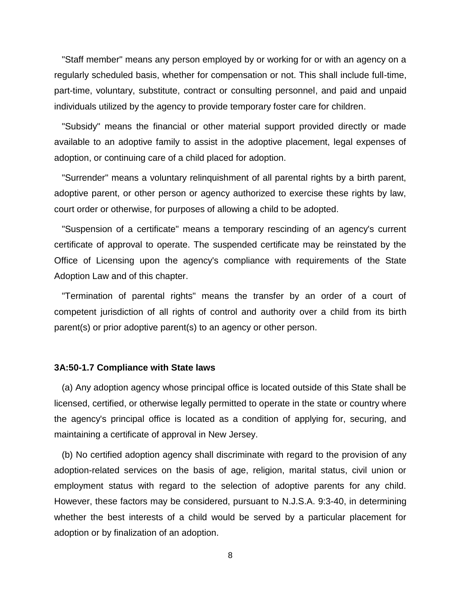"Staff member" means any person employed by or working for or with an agency on a regularly scheduled basis, whether for compensation or not. This shall include full-time, part-time, voluntary, substitute, contract or consulting personnel, and paid and unpaid individuals utilized by the agency to provide temporary foster care for children.

 "Subsidy" means the financial or other material support provided directly or made available to an adoptive family to assist in the adoptive placement, legal expenses of adoption, or continuing care of a child placed for adoption.

 "Surrender" means a voluntary relinquishment of all parental rights by a birth parent, adoptive parent, or other person or agency authorized to exercise these rights by law, court order or otherwise, for purposes of allowing a child to be adopted.

 "Suspension of a certificate" means a temporary rescinding of an agency's current certificate of approval to operate. The suspended certificate may be reinstated by the Office of Licensing upon the agency's compliance with requirements of the State Adoption Law and of this chapter.

 "Termination of parental rights" means the transfer by an order of a court of competent jurisdiction of all rights of control and authority over a child from its birth parent(s) or prior adoptive parent(s) to an agency or other person.

#### **3A:50-1.7 Compliance with State laws**

 (a) Any adoption agency whose principal office is located outside of this State shall be licensed, certified, or otherwise legally permitted to operate in the state or country where the agency's principal office is located as a condition of applying for, securing, and maintaining a certificate of approval in New Jersey.

 (b) No certified adoption agency shall discriminate with regard to the provision of any adoption-related services on the basis of age, religion, marital status, civil union or employment status with regard to the selection of adoptive parents for any child. However, these factors may be considered, pursuant to N.J.S.A. 9:3-40, in determining whether the best interests of a child would be served by a particular placement for adoption or by finalization of an adoption.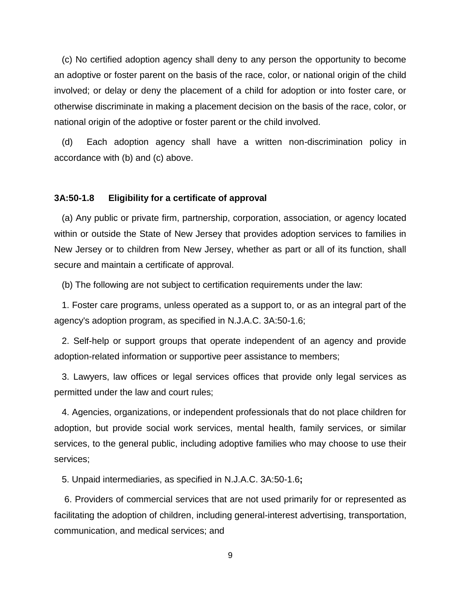(c) No certified adoption agency shall deny to any person the opportunity to become an adoptive or foster parent on the basis of the race, color, or national origin of the child involved; or delay or deny the placement of a child for adoption or into foster care, or otherwise discriminate in making a placement decision on the basis of the race, color, or national origin of the adoptive or foster parent or the child involved.

 (d) Each adoption agency shall have a written non-discrimination policy in accordance with (b) and (c) above.

#### **3A:50-1.8 Eligibility for a certificate of approval**

 (a) Any public or private firm, partnership, corporation, association, or agency located within or outside the State of New Jersey that provides adoption services to families in New Jersey or to children from New Jersey, whether as part or all of its function, shall secure and maintain a certificate of approval.

(b) The following are not subject to certification requirements under the law:

 1. Foster care programs, unless operated as a support to, or as an integral part of the agency's adoption program, as specified in N.J.A.C. 3A:50-1.6;

 2. Self-help or support groups that operate independent of an agency and provide adoption-related information or supportive peer assistance to members;

 3. Lawyers, law offices or legal services offices that provide only legal services as permitted under the law and court rules;

 4. Agencies, organizations, or independent professionals that do not place children for adoption, but provide social work services, mental health, family services, or similar services, to the general public, including adoptive families who may choose to use their services;

5. Unpaid intermediaries, as specified in N.J.A.C. 3A:50-1.6**;**

6. Providers of commercial services that are not used primarily for or represented as facilitating the adoption of children, including general-interest advertising, transportation, communication, and medical services; and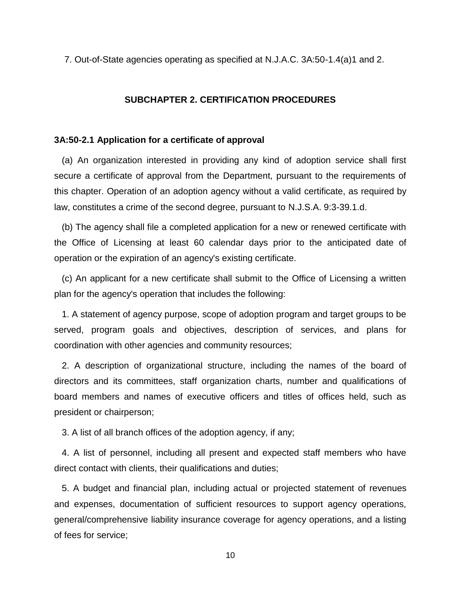7. Out-of-State agencies operating as specified at N.J.A.C. 3A:50-1.4(a)1 and 2.

#### **SUBCHAPTER 2. CERTIFICATION PROCEDURES**

#### **3A:50-2.1 Application for a certificate of approval**

 (a) An organization interested in providing any kind of adoption service shall first secure a certificate of approval from the Department, pursuant to the requirements of this chapter. Operation of an adoption agency without a valid certificate, as required by law, constitutes a crime of the second degree, pursuant to N.J.S.A. 9:3-39.1.d.

 (b) The agency shall file a completed application for a new or renewed certificate with the Office of Licensing at least 60 calendar days prior to the anticipated date of operation or the expiration of an agency's existing certificate.

 (c) An applicant for a new certificate shall submit to the Office of Licensing a written plan for the agency's operation that includes the following:

 1. A statement of agency purpose, scope of adoption program and target groups to be served, program goals and objectives, description of services, and plans for coordination with other agencies and community resources;

 2. A description of organizational structure, including the names of the board of directors and its committees, staff organization charts, number and qualifications of board members and names of executive officers and titles of offices held, such as president or chairperson;

3. A list of all branch offices of the adoption agency, if any;

 4. A list of personnel, including all present and expected staff members who have direct contact with clients, their qualifications and duties;

 5. A budget and financial plan, including actual or projected statement of revenues and expenses, documentation of sufficient resources to support agency operations, general/comprehensive liability insurance coverage for agency operations, and a listing of fees for service;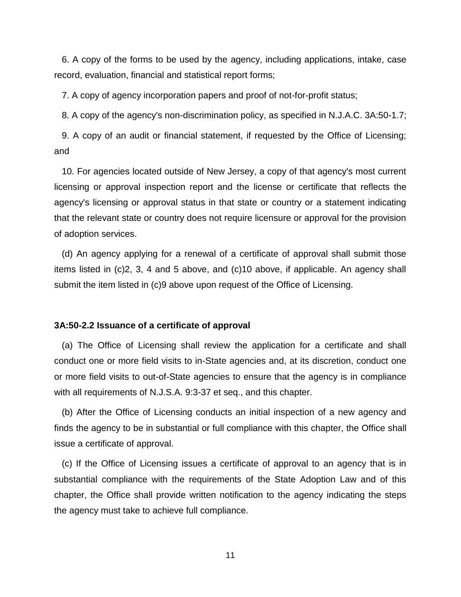6. A copy of the forms to be used by the agency, including applications, intake, case record, evaluation, financial and statistical report forms;

7. A copy of agency incorporation papers and proof of not-for-profit status;

8. A copy of the agency's non-discrimination policy, as specified in N.J.A.C. 3A:50-1.7;

 9. A copy of an audit or financial statement, if requested by the Office of Licensing; and

 10. For agencies located outside of New Jersey, a copy of that agency's most current licensing or approval inspection report and the license or certificate that reflects the agency's licensing or approval status in that state or country or a statement indicating that the relevant state or country does not require licensure or approval for the provision of adoption services.

 (d) An agency applying for a renewal of a certificate of approval shall submit those items listed in (c)2, 3, 4 and 5 above, and (c)10 above, if applicable. An agency shall submit the item listed in (c)9 above upon request of the Office of Licensing.

#### **3A:50-2.2 Issuance of a certificate of approval**

 (a) The Office of Licensing shall review the application for a certificate and shall conduct one or more field visits to in-State agencies and, at its discretion, conduct one or more field visits to out-of-State agencies to ensure that the agency is in compliance with all requirements of N.J.S.A. 9:3-37 et seq., and this chapter.

 (b) After the Office of Licensing conducts an initial inspection of a new agency and finds the agency to be in substantial or full compliance with this chapter, the Office shall issue a certificate of approval.

 (c) If the Office of Licensing issues a certificate of approval to an agency that is in substantial compliance with the requirements of the State Adoption Law and of this chapter, the Office shall provide written notification to the agency indicating the steps the agency must take to achieve full compliance.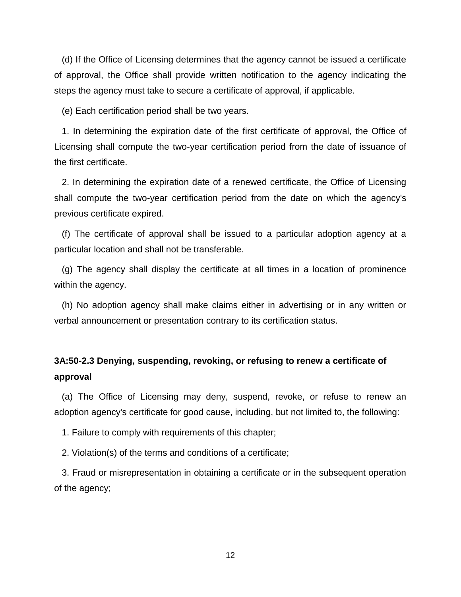(d) If the Office of Licensing determines that the agency cannot be issued a certificate of approval, the Office shall provide written notification to the agency indicating the steps the agency must take to secure a certificate of approval, if applicable.

(e) Each certification period shall be two years.

 1. In determining the expiration date of the first certificate of approval, the Office of Licensing shall compute the two-year certification period from the date of issuance of the first certificate.

 2. In determining the expiration date of a renewed certificate, the Office of Licensing shall compute the two-year certification period from the date on which the agency's previous certificate expired.

 (f) The certificate of approval shall be issued to a particular adoption agency at a particular location and shall not be transferable.

 (g) The agency shall display the certificate at all times in a location of prominence within the agency.

 (h) No adoption agency shall make claims either in advertising or in any written or verbal announcement or presentation contrary to its certification status.

## **3A:50-2.3 Denying, suspending, revoking, or refusing to renew a certificate of approval**

 (a) The Office of Licensing may deny, suspend, revoke, or refuse to renew an adoption agency's certificate for good cause, including, but not limited to, the following:

1. Failure to comply with requirements of this chapter;

2. Violation(s) of the terms and conditions of a certificate;

 3. Fraud or misrepresentation in obtaining a certificate or in the subsequent operation of the agency;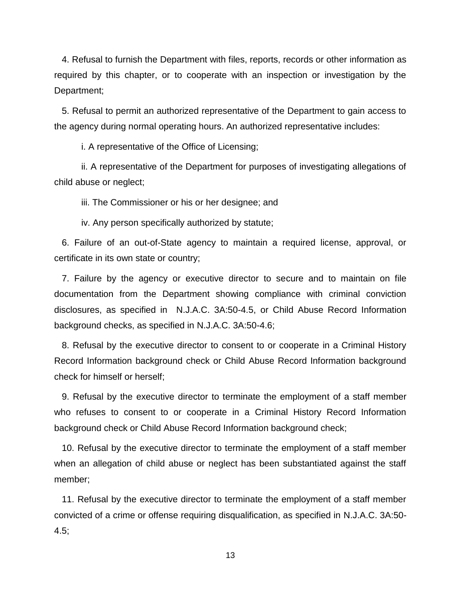4. Refusal to furnish the Department with files, reports, records or other information as required by this chapter, or to cooperate with an inspection or investigation by the Department;

 5. Refusal to permit an authorized representative of the Department to gain access to the agency during normal operating hours. An authorized representative includes:

i. A representative of the Office of Licensing;

 ii. A representative of the Department for purposes of investigating allegations of child abuse or neglect;

iii. The Commissioner or his or her designee; and

iv. Any person specifically authorized by statute;

 6. Failure of an out-of-State agency to maintain a required license, approval, or certificate in its own state or country;

 7. Failure by the agency or executive director to secure and to maintain on file documentation from the Department showing compliance with criminal conviction disclosures, as specified in N.J.A.C. 3A:50-4.5, or Child Abuse Record Information background checks, as specified in N.J.A.C. 3A:50-4.6;

 8. Refusal by the executive director to consent to or cooperate in a Criminal History Record Information background check or Child Abuse Record Information background check for himself or herself;

 9. Refusal by the executive director to terminate the employment of a staff member who refuses to consent to or cooperate in a Criminal History Record Information background check or Child Abuse Record Information background check;

 10. Refusal by the executive director to terminate the employment of a staff member when an allegation of child abuse or neglect has been substantiated against the staff member;

 11. Refusal by the executive director to terminate the employment of a staff member convicted of a crime or offense requiring disqualification, as specified in N.J.A.C. 3A:50- 4.5;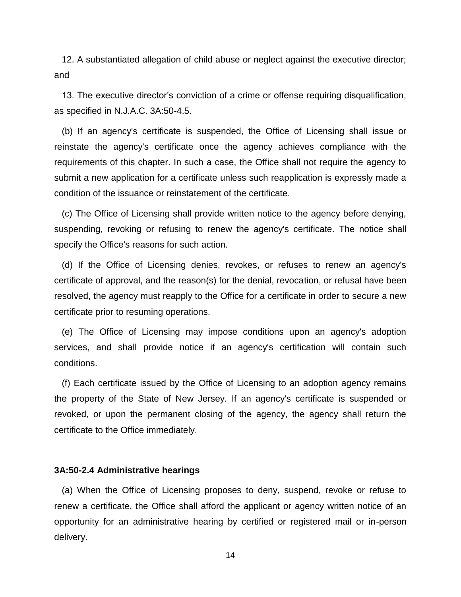12. A substantiated allegation of child abuse or neglect against the executive director; and

 13. The executive director's conviction of a crime or offense requiring disqualification, as specified in N.J.A.C. 3A:50-4.5.

 (b) If an agency's certificate is suspended, the Office of Licensing shall issue or reinstate the agency's certificate once the agency achieves compliance with the requirements of this chapter. In such a case, the Office shall not require the agency to submit a new application for a certificate unless such reapplication is expressly made a condition of the issuance or reinstatement of the certificate.

 (c) The Office of Licensing shall provide written notice to the agency before denying, suspending, revoking or refusing to renew the agency's certificate. The notice shall specify the Office's reasons for such action.

 (d) If the Office of Licensing denies, revokes, or refuses to renew an agency's certificate of approval, and the reason(s) for the denial, revocation, or refusal have been resolved, the agency must reapply to the Office for a certificate in order to secure a new certificate prior to resuming operations.

 (e) The Office of Licensing may impose conditions upon an agency's adoption services, and shall provide notice if an agency's certification will contain such conditions.

 (f) Each certificate issued by the Office of Licensing to an adoption agency remains the property of the State of New Jersey. If an agency's certificate is suspended or revoked, or upon the permanent closing of the agency, the agency shall return the certificate to the Office immediately.

#### **3A:50-2.4 Administrative hearings**

 (a) When the Office of Licensing proposes to deny, suspend, revoke or refuse to renew a certificate, the Office shall afford the applicant or agency written notice of an opportunity for an administrative hearing by certified or registered mail or in-person delivery.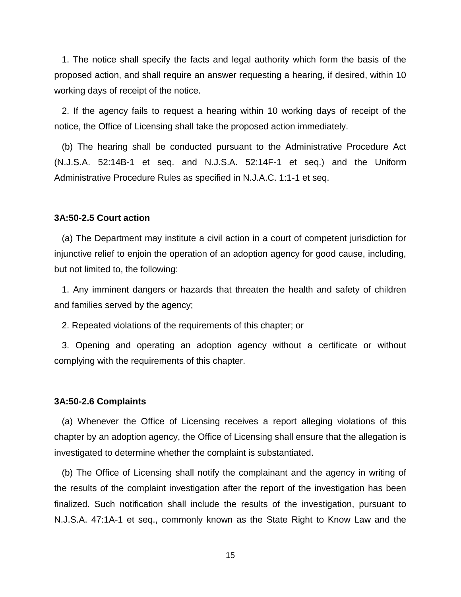1. The notice shall specify the facts and legal authority which form the basis of the proposed action, and shall require an answer requesting a hearing, if desired, within 10 working days of receipt of the notice.

 2. If the agency fails to request a hearing within 10 working days of receipt of the notice, the Office of Licensing shall take the proposed action immediately.

 (b) The hearing shall be conducted pursuant to the Administrative Procedure Act (N.J.S.A. 52:14B-1 et seq. and N.J.S.A. 52:14F-1 et seq.) and the Uniform Administrative Procedure Rules as specified in N.J.A.C. 1:1-1 et seq.

#### **3A:50-2.5 Court action**

 (a) The Department may institute a civil action in a court of competent jurisdiction for injunctive relief to enjoin the operation of an adoption agency for good cause, including, but not limited to, the following:

 1. Any imminent dangers or hazards that threaten the health and safety of children and families served by the agency;

2. Repeated violations of the requirements of this chapter; or

 3. Opening and operating an adoption agency without a certificate or without complying with the requirements of this chapter.

#### **3A:50-2.6 Complaints**

 (a) Whenever the Office of Licensing receives a report alleging violations of this chapter by an adoption agency, the Office of Licensing shall ensure that the allegation is investigated to determine whether the complaint is substantiated.

 (b) The Office of Licensing shall notify the complainant and the agency in writing of the results of the complaint investigation after the report of the investigation has been finalized. Such notification shall include the results of the investigation, pursuant to N.J.S.A. 47:1A-1 et seq., commonly known as the State Right to Know Law and the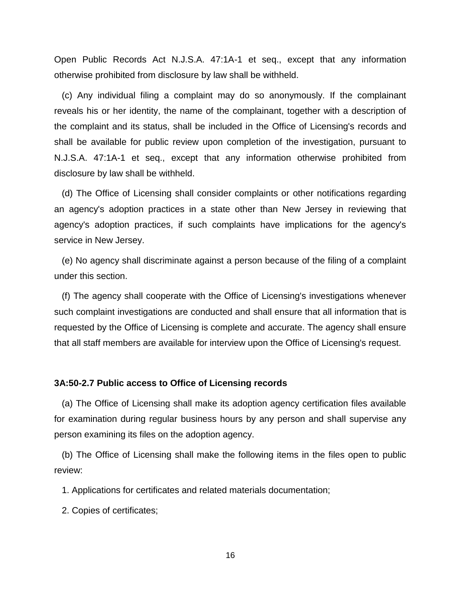Open Public Records Act N.J.S.A. 47:1A-1 et seq., except that any information otherwise prohibited from disclosure by law shall be withheld.

 (c) Any individual filing a complaint may do so anonymously. If the complainant reveals his or her identity, the name of the complainant, together with a description of the complaint and its status, shall be included in the Office of Licensing's records and shall be available for public review upon completion of the investigation, pursuant to N.J.S.A. 47:1A-1 et seq., except that any information otherwise prohibited from disclosure by law shall be withheld.

 (d) The Office of Licensing shall consider complaints or other notifications regarding an agency's adoption practices in a state other than New Jersey in reviewing that agency's adoption practices, if such complaints have implications for the agency's service in New Jersey.

 (e) No agency shall discriminate against a person because of the filing of a complaint under this section.

 (f) The agency shall cooperate with the Office of Licensing's investigations whenever such complaint investigations are conducted and shall ensure that all information that is requested by the Office of Licensing is complete and accurate. The agency shall ensure that all staff members are available for interview upon the Office of Licensing's request.

#### **3A:50-2.7 Public access to Office of Licensing records**

 (a) The Office of Licensing shall make its adoption agency certification files available for examination during regular business hours by any person and shall supervise any person examining its files on the adoption agency.

 (b) The Office of Licensing shall make the following items in the files open to public review:

1. Applications for certificates and related materials documentation;

2. Copies of certificates;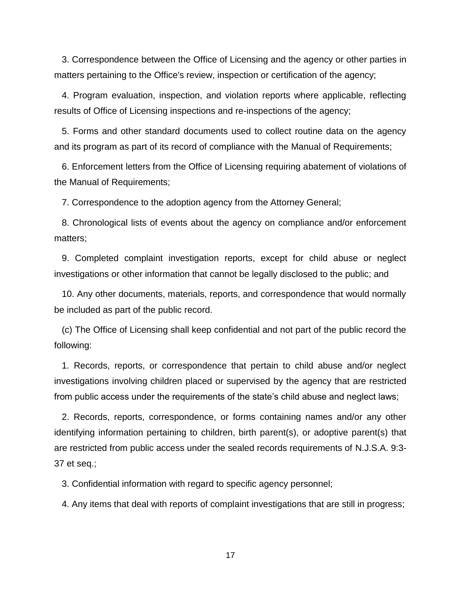3. Correspondence between the Office of Licensing and the agency or other parties in matters pertaining to the Office's review, inspection or certification of the agency;

 4. Program evaluation, inspection, and violation reports where applicable, reflecting results of Office of Licensing inspections and re-inspections of the agency;

 5. Forms and other standard documents used to collect routine data on the agency and its program as part of its record of compliance with the Manual of Requirements;

 6. Enforcement letters from the Office of Licensing requiring abatement of violations of the Manual of Requirements;

7. Correspondence to the adoption agency from the Attorney General;

 8. Chronological lists of events about the agency on compliance and/or enforcement matters;

 9. Completed complaint investigation reports, except for child abuse or neglect investigations or other information that cannot be legally disclosed to the public; and

 10. Any other documents, materials, reports, and correspondence that would normally be included as part of the public record.

 (c) The Office of Licensing shall keep confidential and not part of the public record the following:

 1. Records, reports, or correspondence that pertain to child abuse and/or neglect investigations involving children placed or supervised by the agency that are restricted from public access under the requirements of the state's child abuse and neglect laws;

 2. Records, reports, correspondence, or forms containing names and/or any other identifying information pertaining to children, birth parent(s), or adoptive parent(s) that are restricted from public access under the sealed records requirements of N.J.S.A. 9:3- 37 et seq.;

3. Confidential information with regard to specific agency personnel;

4. Any items that deal with reports of complaint investigations that are still in progress;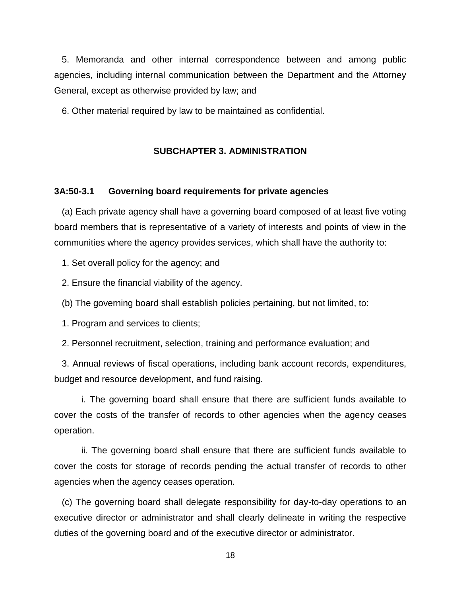5. Memoranda and other internal correspondence between and among public agencies, including internal communication between the Department and the Attorney General, except as otherwise provided by law; and

6. Other material required by law to be maintained as confidential.

#### **SUBCHAPTER 3. ADMINISTRATION**

#### **3A:50-3.1 Governing board requirements for private agencies**

 (a) Each private agency shall have a governing board composed of at least five voting board members that is representative of a variety of interests and points of view in the communities where the agency provides services, which shall have the authority to:

1. Set overall policy for the agency; and

2. Ensure the financial viability of the agency.

(b) The governing board shall establish policies pertaining, but not limited, to:

1. Program and services to clients;

2. Personnel recruitment, selection, training and performance evaluation; and

 3. Annual reviews of fiscal operations, including bank account records, expenditures, budget and resource development, and fund raising.

 i. The governing board shall ensure that there are sufficient funds available to cover the costs of the transfer of records to other agencies when the agency ceases operation.

 ii. The governing board shall ensure that there are sufficient funds available to cover the costs for storage of records pending the actual transfer of records to other agencies when the agency ceases operation.

 (c) The governing board shall delegate responsibility for day-to-day operations to an executive director or administrator and shall clearly delineate in writing the respective duties of the governing board and of the executive director or administrator.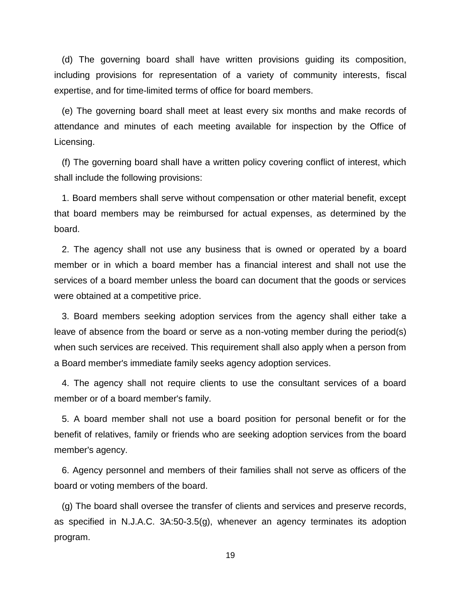(d) The governing board shall have written provisions guiding its composition, including provisions for representation of a variety of community interests, fiscal expertise, and for time-limited terms of office for board members.

 (e) The governing board shall meet at least every six months and make records of attendance and minutes of each meeting available for inspection by the Office of Licensing.

 (f) The governing board shall have a written policy covering conflict of interest, which shall include the following provisions:

 1. Board members shall serve without compensation or other material benefit, except that board members may be reimbursed for actual expenses, as determined by the board.

 2. The agency shall not use any business that is owned or operated by a board member or in which a board member has a financial interest and shall not use the services of a board member unless the board can document that the goods or services were obtained at a competitive price.

 3. Board members seeking adoption services from the agency shall either take a leave of absence from the board or serve as a non-voting member during the period(s) when such services are received. This requirement shall also apply when a person from a Board member's immediate family seeks agency adoption services.

 4. The agency shall not require clients to use the consultant services of a board member or of a board member's family.

 5. A board member shall not use a board position for personal benefit or for the benefit of relatives, family or friends who are seeking adoption services from the board member's agency.

 6. Agency personnel and members of their families shall not serve as officers of the board or voting members of the board.

 (g) The board shall oversee the transfer of clients and services and preserve records, as specified in N.J.A.C. 3A:50-3.5(g), whenever an agency terminates its adoption program.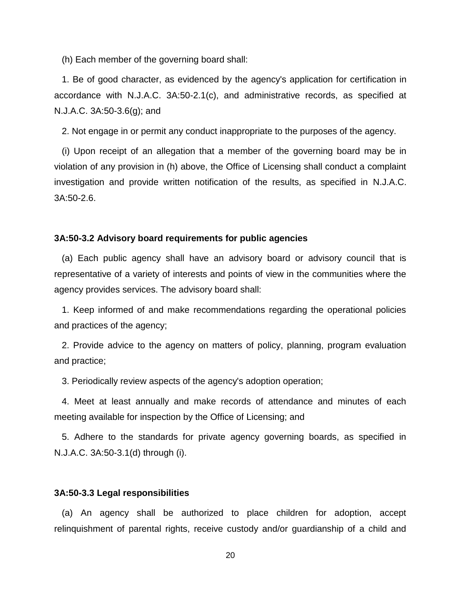(h) Each member of the governing board shall:

 1. Be of good character, as evidenced by the agency's application for certification in accordance with N.J.A.C. 3A:50-2.1(c), and administrative records, as specified at N.J.A.C. 3A:50-3.6(g); and

2. Not engage in or permit any conduct inappropriate to the purposes of the agency.

 (i) Upon receipt of an allegation that a member of the governing board may be in violation of any provision in (h) above, the Office of Licensing shall conduct a complaint investigation and provide written notification of the results, as specified in N.J.A.C. 3A:50-2.6.

#### **3A:50-3.2 Advisory board requirements for public agencies**

 (a) Each public agency shall have an advisory board or advisory council that is representative of a variety of interests and points of view in the communities where the agency provides services. The advisory board shall:

 1. Keep informed of and make recommendations regarding the operational policies and practices of the agency;

 2. Provide advice to the agency on matters of policy, planning, program evaluation and practice;

3. Periodically review aspects of the agency's adoption operation;

 4. Meet at least annually and make records of attendance and minutes of each meeting available for inspection by the Office of Licensing; and

 5. Adhere to the standards for private agency governing boards, as specified in N.J.A.C. 3A:50-3.1(d) through (i).

#### **3A:50-3.3 Legal responsibilities**

 (a) An agency shall be authorized to place children for adoption, accept relinquishment of parental rights, receive custody and/or guardianship of a child and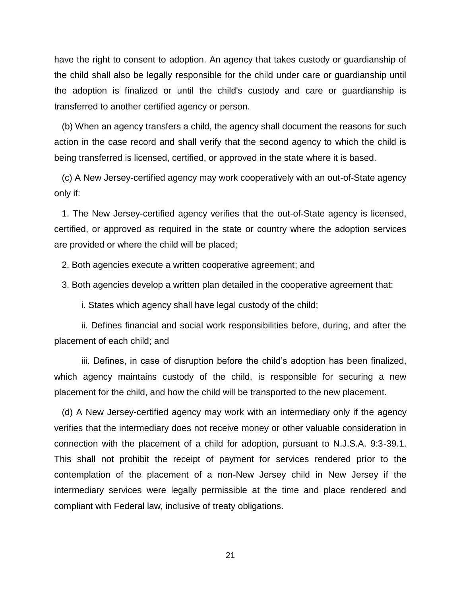have the right to consent to adoption. An agency that takes custody or guardianship of the child shall also be legally responsible for the child under care or guardianship until the adoption is finalized or until the child's custody and care or guardianship is transferred to another certified agency or person.

 (b) When an agency transfers a child, the agency shall document the reasons for such action in the case record and shall verify that the second agency to which the child is being transferred is licensed, certified, or approved in the state where it is based.

 (c) A New Jersey-certified agency may work cooperatively with an out-of-State agency only if:

 1. The New Jersey-certified agency verifies that the out-of-State agency is licensed, certified, or approved as required in the state or country where the adoption services are provided or where the child will be placed;

2. Both agencies execute a written cooperative agreement; and

3. Both agencies develop a written plan detailed in the cooperative agreement that:

i. States which agency shall have legal custody of the child;

ii. Defines financial and social work responsibilities before, during, and after the placement of each child; and

 iii. Defines, in case of disruption before the child's adoption has been finalized, which agency maintains custody of the child, is responsible for securing a new placement for the child, and how the child will be transported to the new placement.

 (d) A New Jersey-certified agency may work with an intermediary only if the agency verifies that the intermediary does not receive money or other valuable consideration in connection with the placement of a child for adoption, pursuant to N.J.S.A. 9:3-39.1. This shall not prohibit the receipt of payment for services rendered prior to the contemplation of the placement of a non-New Jersey child in New Jersey if the intermediary services were legally permissible at the time and place rendered and compliant with Federal law, inclusive of treaty obligations.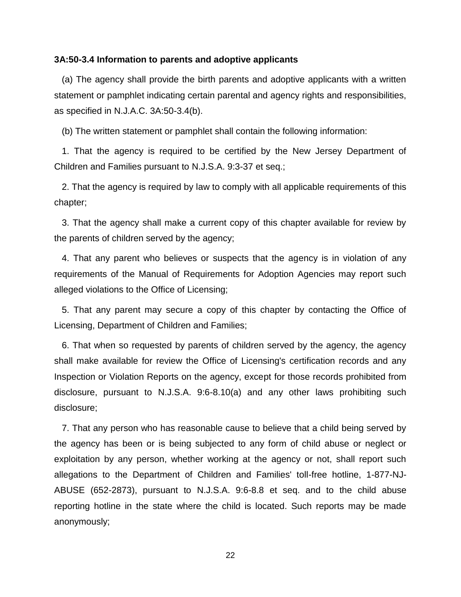#### **3A:50-3.4 Information to parents and adoptive applicants**

 (a) The agency shall provide the birth parents and adoptive applicants with a written statement or pamphlet indicating certain parental and agency rights and responsibilities, as specified in N.J.A.C. 3A:50-3.4(b).

(b) The written statement or pamphlet shall contain the following information:

 1. That the agency is required to be certified by the New Jersey Department of Children and Families pursuant to N.J.S.A. 9:3-37 et seq.;

 2. That the agency is required by law to comply with all applicable requirements of this chapter;

 3. That the agency shall make a current copy of this chapter available for review by the parents of children served by the agency;

 4. That any parent who believes or suspects that the agency is in violation of any requirements of the Manual of Requirements for Adoption Agencies may report such alleged violations to the Office of Licensing;

 5. That any parent may secure a copy of this chapter by contacting the Office of Licensing, Department of Children and Families;

 6. That when so requested by parents of children served by the agency, the agency shall make available for review the Office of Licensing's certification records and any Inspection or Violation Reports on the agency, except for those records prohibited from disclosure, pursuant to N.J.S.A. 9:6-8.10(a) and any other laws prohibiting such disclosure;

 7. That any person who has reasonable cause to believe that a child being served by the agency has been or is being subjected to any form of child abuse or neglect or exploitation by any person, whether working at the agency or not, shall report such allegations to the Department of Children and Families' toll-free hotline, 1-877-NJ-ABUSE (652-2873), pursuant to N.J.S.A. 9:6-8.8 et seq. and to the child abuse reporting hotline in the state where the child is located. Such reports may be made anonymously;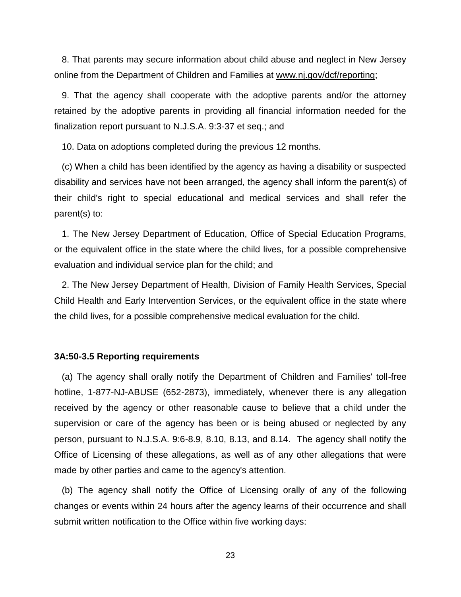8. That parents may secure information about child abuse and neglect in New Jersey online from the Department of Children and Families at www.nj.gov/dcf/reporting;

 9. That the agency shall cooperate with the adoptive parents and/or the attorney retained by the adoptive parents in providing all financial information needed for the finalization report pursuant to N.J.S.A. 9:3-37 et seq.; and

10. Data on adoptions completed during the previous 12 months.

 (c) When a child has been identified by the agency as having a disability or suspected disability and services have not been arranged, the agency shall inform the parent(s) of their child's right to special educational and medical services and shall refer the parent(s) to:

 1. The New Jersey Department of Education, Office of Special Education Programs, or the equivalent office in the state where the child lives, for a possible comprehensive evaluation and individual service plan for the child; and

 2. The New Jersey Department of Health, Division of Family Health Services, Special Child Health and Early Intervention Services, or the equivalent office in the state where the child lives, for a possible comprehensive medical evaluation for the child.

#### **3A:50-3.5 Reporting requirements**

 (a) The agency shall orally notify the Department of Children and Families' toll-free hotline, 1-877-NJ-ABUSE (652-2873), immediately, whenever there is any allegation received by the agency or other reasonable cause to believe that a child under the supervision or care of the agency has been or is being abused or neglected by any person, pursuant to N.J.S.A. 9:6-8.9, 8.10, 8.13, and 8.14. The agency shall notify the Office of Licensing of these allegations, as well as of any other allegations that were made by other parties and came to the agency's attention.

 (b) The agency shall notify the Office of Licensing orally of any of the following changes or events within 24 hours after the agency learns of their occurrence and shall submit written notification to the Office within five working days: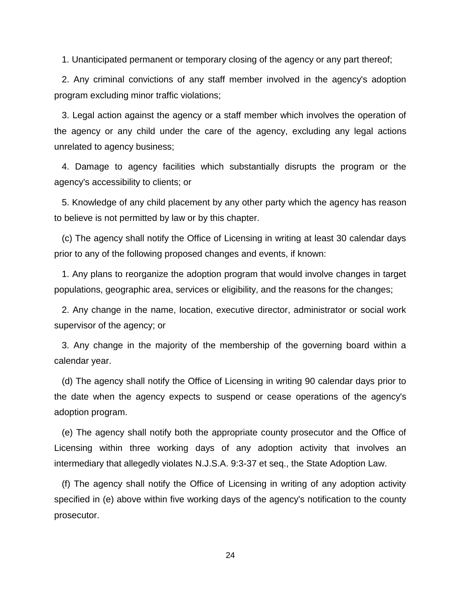1. Unanticipated permanent or temporary closing of the agency or any part thereof;

 2. Any criminal convictions of any staff member involved in the agency's adoption program excluding minor traffic violations;

 3. Legal action against the agency or a staff member which involves the operation of the agency or any child under the care of the agency, excluding any legal actions unrelated to agency business;

 4. Damage to agency facilities which substantially disrupts the program or the agency's accessibility to clients; or

 5. Knowledge of any child placement by any other party which the agency has reason to believe is not permitted by law or by this chapter.

 (c) The agency shall notify the Office of Licensing in writing at least 30 calendar days prior to any of the following proposed changes and events, if known:

 1. Any plans to reorganize the adoption program that would involve changes in target populations, geographic area, services or eligibility, and the reasons for the changes;

 2. Any change in the name, location, executive director, administrator or social work supervisor of the agency; or

 3. Any change in the majority of the membership of the governing board within a calendar year.

 (d) The agency shall notify the Office of Licensing in writing 90 calendar days prior to the date when the agency expects to suspend or cease operations of the agency's adoption program.

 (e) The agency shall notify both the appropriate county prosecutor and the Office of Licensing within three working days of any adoption activity that involves an intermediary that allegedly violates N.J.S.A. 9:3-37 et seq., the State Adoption Law.

 (f) The agency shall notify the Office of Licensing in writing of any adoption activity specified in (e) above within five working days of the agency's notification to the county prosecutor.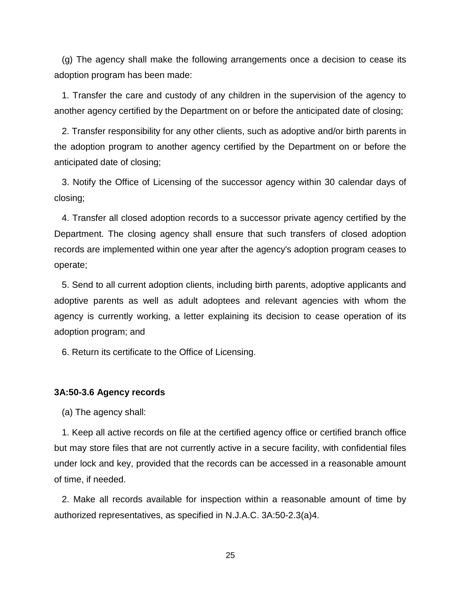(g) The agency shall make the following arrangements once a decision to cease its adoption program has been made:

 1. Transfer the care and custody of any children in the supervision of the agency to another agency certified by the Department on or before the anticipated date of closing;

 2. Transfer responsibility for any other clients, such as adoptive and/or birth parents in the adoption program to another agency certified by the Department on or before the anticipated date of closing;

 3. Notify the Office of Licensing of the successor agency within 30 calendar days of closing;

 4. Transfer all closed adoption records to a successor private agency certified by the Department. The closing agency shall ensure that such transfers of closed adoption records are implemented within one year after the agency's adoption program ceases to operate;

 5. Send to all current adoption clients, including birth parents, adoptive applicants and adoptive parents as well as adult adoptees and relevant agencies with whom the agency is currently working, a letter explaining its decision to cease operation of its adoption program; and

6. Return its certificate to the Office of Licensing.

#### **3A:50-3.6 Agency records**

(a) The agency shall:

 1. Keep all active records on file at the certified agency office or certified branch office but may store files that are not currently active in a secure facility, with confidential files under lock and key, provided that the records can be accessed in a reasonable amount of time, if needed.

 2. Make all records available for inspection within a reasonable amount of time by authorized representatives, as specified in N.J.A.C. 3A:50-2.3(a)4.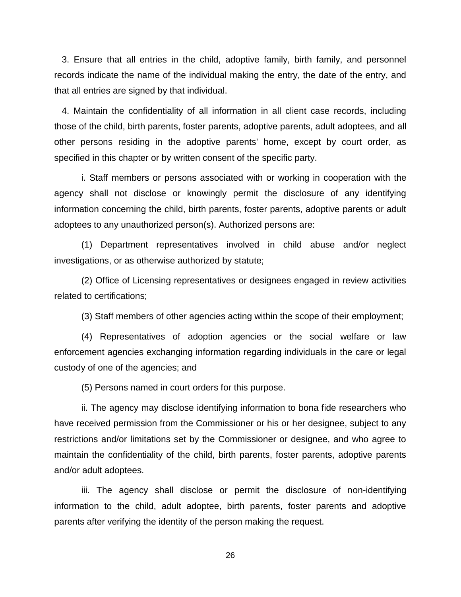3. Ensure that all entries in the child, adoptive family, birth family, and personnel records indicate the name of the individual making the entry, the date of the entry, and that all entries are signed by that individual.

 4. Maintain the confidentiality of all information in all client case records, including those of the child, birth parents, foster parents, adoptive parents, adult adoptees, and all other persons residing in the adoptive parents' home, except by court order, as specified in this chapter or by written consent of the specific party.

 i. Staff members or persons associated with or working in cooperation with the agency shall not disclose or knowingly permit the disclosure of any identifying information concerning the child, birth parents, foster parents, adoptive parents or adult adoptees to any unauthorized person(s). Authorized persons are:

 (1) Department representatives involved in child abuse and/or neglect investigations, or as otherwise authorized by statute;

 (2) Office of Licensing representatives or designees engaged in review activities related to certifications;

(3) Staff members of other agencies acting within the scope of their employment;

 (4) Representatives of adoption agencies or the social welfare or law enforcement agencies exchanging information regarding individuals in the care or legal custody of one of the agencies; and

(5) Persons named in court orders for this purpose.

 ii. The agency may disclose identifying information to bona fide researchers who have received permission from the Commissioner or his or her designee, subject to any restrictions and/or limitations set by the Commissioner or designee, and who agree to maintain the confidentiality of the child, birth parents, foster parents, adoptive parents and/or adult adoptees.

 iii. The agency shall disclose or permit the disclosure of non-identifying information to the child, adult adoptee, birth parents, foster parents and adoptive parents after verifying the identity of the person making the request.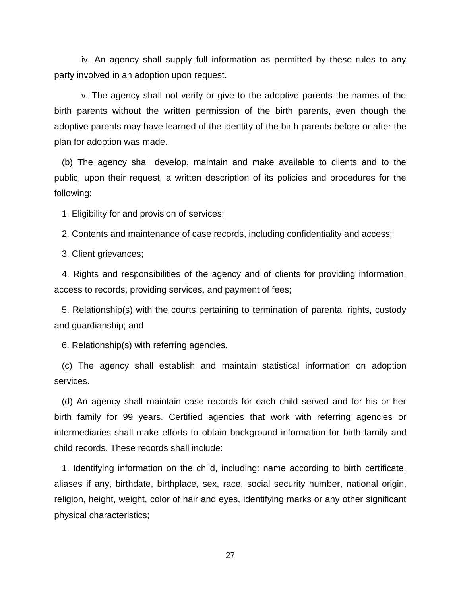iv. An agency shall supply full information as permitted by these rules to any party involved in an adoption upon request.

 v. The agency shall not verify or give to the adoptive parents the names of the birth parents without the written permission of the birth parents, even though the adoptive parents may have learned of the identity of the birth parents before or after the plan for adoption was made.

 (b) The agency shall develop, maintain and make available to clients and to the public, upon their request, a written description of its policies and procedures for the following:

1. Eligibility for and provision of services;

2. Contents and maintenance of case records, including confidentiality and access;

3. Client grievances;

 4. Rights and responsibilities of the agency and of clients for providing information, access to records, providing services, and payment of fees;

 5. Relationship(s) with the courts pertaining to termination of parental rights, custody and guardianship; and

6. Relationship(s) with referring agencies.

 (c) The agency shall establish and maintain statistical information on adoption services.

 (d) An agency shall maintain case records for each child served and for his or her birth family for 99 years. Certified agencies that work with referring agencies or intermediaries shall make efforts to obtain background information for birth family and child records. These records shall include:

 1. Identifying information on the child, including: name according to birth certificate, aliases if any, birthdate, birthplace, sex, race, social security number, national origin, religion, height, weight, color of hair and eyes, identifying marks or any other significant physical characteristics;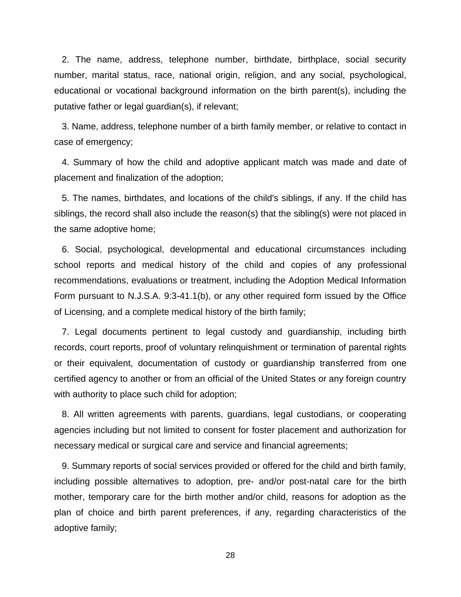2. The name, address, telephone number, birthdate, birthplace, social security number, marital status, race, national origin, religion, and any social, psychological, educational or vocational background information on the birth parent(s), including the putative father or legal guardian(s), if relevant;

 3. Name, address, telephone number of a birth family member, or relative to contact in case of emergency;

 4. Summary of how the child and adoptive applicant match was made and date of placement and finalization of the adoption;

 5. The names, birthdates, and locations of the child's siblings, if any. If the child has siblings, the record shall also include the reason(s) that the sibling(s) were not placed in the same adoptive home;

 6. Social, psychological, developmental and educational circumstances including school reports and medical history of the child and copies of any professional recommendations, evaluations or treatment, including the Adoption Medical Information Form pursuant to N.J.S.A. 9:3-41.1(b), or any other required form issued by the Office of Licensing, and a complete medical history of the birth family;

 7. Legal documents pertinent to legal custody and guardianship, including birth records, court reports, proof of voluntary relinquishment or termination of parental rights or their equivalent, documentation of custody or guardianship transferred from one certified agency to another or from an official of the United States or any foreign country with authority to place such child for adoption;

 8. All written agreements with parents, guardians, legal custodians, or cooperating agencies including but not limited to consent for foster placement and authorization for necessary medical or surgical care and service and financial agreements;

 9. Summary reports of social services provided or offered for the child and birth family, including possible alternatives to adoption, pre- and/or post-natal care for the birth mother, temporary care for the birth mother and/or child, reasons for adoption as the plan of choice and birth parent preferences, if any, regarding characteristics of the adoptive family;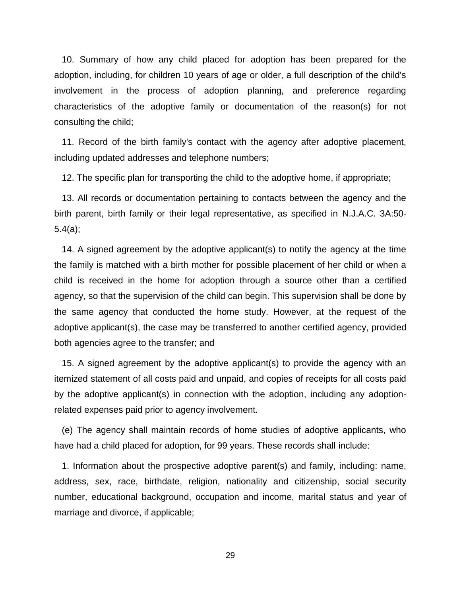10. Summary of how any child placed for adoption has been prepared for the adoption, including, for children 10 years of age or older, a full description of the child's involvement in the process of adoption planning, and preference regarding characteristics of the adoptive family or documentation of the reason(s) for not consulting the child;

 11. Record of the birth family's contact with the agency after adoptive placement, including updated addresses and telephone numbers;

12. The specific plan for transporting the child to the adoptive home, if appropriate;

 13. All records or documentation pertaining to contacts between the agency and the birth parent, birth family or their legal representative, as specified in N.J.A.C. 3A:50- 5.4(a);

 14. A signed agreement by the adoptive applicant(s) to notify the agency at the time the family is matched with a birth mother for possible placement of her child or when a child is received in the home for adoption through a source other than a certified agency, so that the supervision of the child can begin. This supervision shall be done by the same agency that conducted the home study. However, at the request of the adoptive applicant(s), the case may be transferred to another certified agency, provided both agencies agree to the transfer; and

 15. A signed agreement by the adoptive applicant(s) to provide the agency with an itemized statement of all costs paid and unpaid, and copies of receipts for all costs paid by the adoptive applicant(s) in connection with the adoption, including any adoptionrelated expenses paid prior to agency involvement.

 (e) The agency shall maintain records of home studies of adoptive applicants, who have had a child placed for adoption, for 99 years. These records shall include:

 1. Information about the prospective adoptive parent(s) and family, including: name, address, sex, race, birthdate, religion, nationality and citizenship, social security number, educational background, occupation and income, marital status and year of marriage and divorce, if applicable;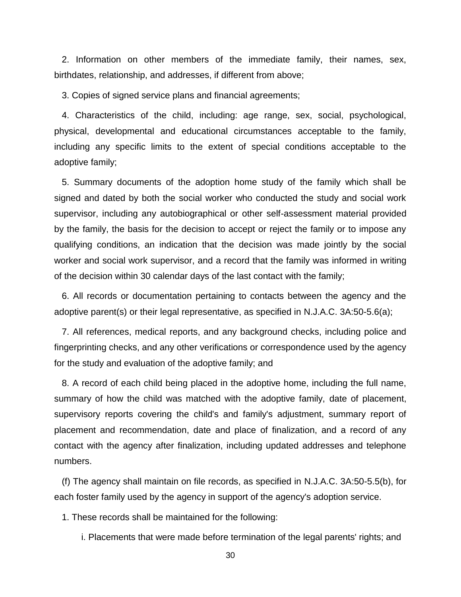2. Information on other members of the immediate family, their names, sex, birthdates, relationship, and addresses, if different from above;

3. Copies of signed service plans and financial agreements;

 4. Characteristics of the child, including: age range, sex, social, psychological, physical, developmental and educational circumstances acceptable to the family, including any specific limits to the extent of special conditions acceptable to the adoptive family;

 5. Summary documents of the adoption home study of the family which shall be signed and dated by both the social worker who conducted the study and social work supervisor, including any autobiographical or other self-assessment material provided by the family, the basis for the decision to accept or reject the family or to impose any qualifying conditions, an indication that the decision was made jointly by the social worker and social work supervisor, and a record that the family was informed in writing of the decision within 30 calendar days of the last contact with the family;

 6. All records or documentation pertaining to contacts between the agency and the adoptive parent(s) or their legal representative, as specified in N.J.A.C. 3A:50-5.6(a);

 7. All references, medical reports, and any background checks, including police and fingerprinting checks, and any other verifications or correspondence used by the agency for the study and evaluation of the adoptive family; and

 8. A record of each child being placed in the adoptive home, including the full name, summary of how the child was matched with the adoptive family, date of placement, supervisory reports covering the child's and family's adjustment, summary report of placement and recommendation, date and place of finalization, and a record of any contact with the agency after finalization, including updated addresses and telephone numbers.

 (f) The agency shall maintain on file records, as specified in N.J.A.C. 3A:50-5.5(b), for each foster family used by the agency in support of the agency's adoption service.

1. These records shall be maintained for the following:

i. Placements that were made before termination of the legal parents' rights; and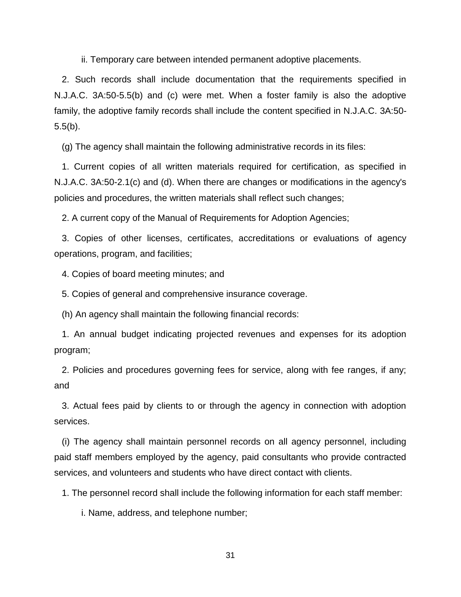ii. Temporary care between intended permanent adoptive placements.

 2. Such records shall include documentation that the requirements specified in N.J.A.C. 3A:50-5.5(b) and (c) were met. When a foster family is also the adoptive family, the adoptive family records shall include the content specified in N.J.A.C. 3A:50- 5.5(b).

(g) The agency shall maintain the following administrative records in its files:

 1. Current copies of all written materials required for certification, as specified in N.J.A.C. 3A:50-2.1(c) and (d). When there are changes or modifications in the agency's policies and procedures, the written materials shall reflect such changes;

2. A current copy of the Manual of Requirements for Adoption Agencies;

 3. Copies of other licenses, certificates, accreditations or evaluations of agency operations, program, and facilities;

4. Copies of board meeting minutes; and

5. Copies of general and comprehensive insurance coverage.

(h) An agency shall maintain the following financial records:

 1. An annual budget indicating projected revenues and expenses for its adoption program;

 2. Policies and procedures governing fees for service, along with fee ranges, if any; and

 3. Actual fees paid by clients to or through the agency in connection with adoption services.

 (i) The agency shall maintain personnel records on all agency personnel, including paid staff members employed by the agency, paid consultants who provide contracted services, and volunteers and students who have direct contact with clients.

1. The personnel record shall include the following information for each staff member:

i. Name, address, and telephone number;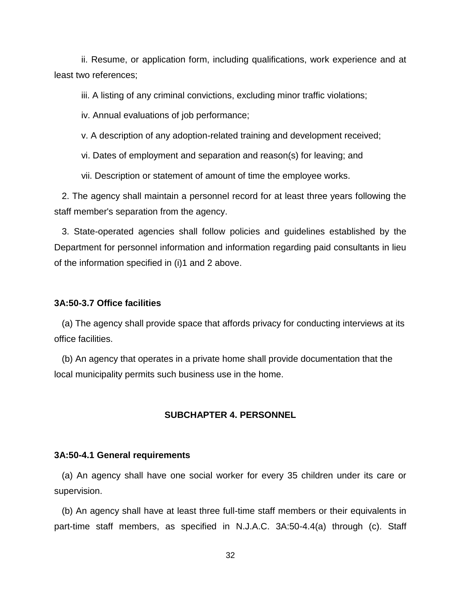ii. Resume, or application form, including qualifications, work experience and at least two references;

iii. A listing of any criminal convictions, excluding minor traffic violations;

iv. Annual evaluations of job performance;

v. A description of any adoption-related training and development received;

vi. Dates of employment and separation and reason(s) for leaving; and

vii. Description or statement of amount of time the employee works.

 2. The agency shall maintain a personnel record for at least three years following the staff member's separation from the agency.

 3. State-operated agencies shall follow policies and guidelines established by the Department for personnel information and information regarding paid consultants in lieu of the information specified in (i)1 and 2 above.

#### **3A:50-3.7 Office facilities**

 (a) The agency shall provide space that affords privacy for conducting interviews at its office facilities.

 (b) An agency that operates in a private home shall provide documentation that the local municipality permits such business use in the home.

#### **SUBCHAPTER 4. PERSONNEL**

#### **3A:50-4.1 General requirements**

 (a) An agency shall have one social worker for every 35 children under its care or supervision.

 (b) An agency shall have at least three full-time staff members or their equivalents in part-time staff members, as specified in N.J.A.C. 3A:50-4.4(a) through (c). Staff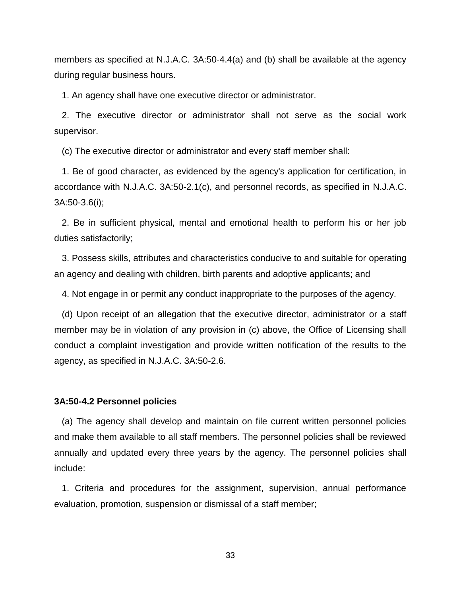members as specified at N.J.A.C. 3A:50-4.4(a) and (b) shall be available at the agency during regular business hours.

1. An agency shall have one executive director or administrator.

 2. The executive director or administrator shall not serve as the social work supervisor.

(c) The executive director or administrator and every staff member shall:

 1. Be of good character, as evidenced by the agency's application for certification, in accordance with N.J.A.C. 3A:50-2.1(c), and personnel records, as specified in N.J.A.C. 3A:50-3.6(i);

 2. Be in sufficient physical, mental and emotional health to perform his or her job duties satisfactorily;

 3. Possess skills, attributes and characteristics conducive to and suitable for operating an agency and dealing with children, birth parents and adoptive applicants; and

4. Not engage in or permit any conduct inappropriate to the purposes of the agency.

 (d) Upon receipt of an allegation that the executive director, administrator or a staff member may be in violation of any provision in (c) above, the Office of Licensing shall conduct a complaint investigation and provide written notification of the results to the agency, as specified in N.J.A.C. 3A:50-2.6.

#### **3A:50-4.2 Personnel policies**

 (a) The agency shall develop and maintain on file current written personnel policies and make them available to all staff members. The personnel policies shall be reviewed annually and updated every three years by the agency. The personnel policies shall include:

 1. Criteria and procedures for the assignment, supervision, annual performance evaluation, promotion, suspension or dismissal of a staff member;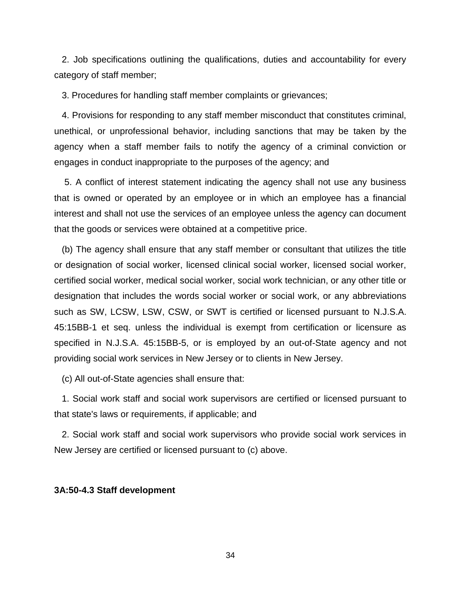2. Job specifications outlining the qualifications, duties and accountability for every category of staff member;

3. Procedures for handling staff member complaints or grievances;

 4. Provisions for responding to any staff member misconduct that constitutes criminal, unethical, or unprofessional behavior, including sanctions that may be taken by the agency when a staff member fails to notify the agency of a criminal conviction or engages in conduct inappropriate to the purposes of the agency; and

5. A conflict of interest statement indicating the agency shall not use any business that is owned or operated by an employee or in which an employee has a financial interest and shall not use the services of an employee unless the agency can document that the goods or services were obtained at a competitive price.

 (b) The agency shall ensure that any staff member or consultant that utilizes the title or designation of social worker, licensed clinical social worker, licensed social worker, certified social worker, medical social worker, social work technician, or any other title or designation that includes the words social worker or social work, or any abbreviations such as SW, LCSW, LSW, CSW, or SWT is certified or licensed pursuant to N.J.S.A. 45:15BB-1 et seq. unless the individual is exempt from certification or licensure as specified in N.J.S.A. 45:15BB-5, or is employed by an out-of-State agency and not providing social work services in New Jersey or to clients in New Jersey.

(c) All out-of-State agencies shall ensure that:

 1. Social work staff and social work supervisors are certified or licensed pursuant to that state's laws or requirements, if applicable; and

 2. Social work staff and social work supervisors who provide social work services in New Jersey are certified or licensed pursuant to (c) above.

# **3A:50-4.3 Staff development**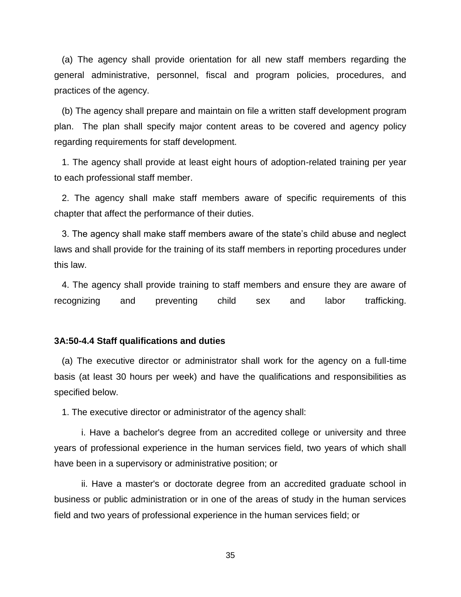(a) The agency shall provide orientation for all new staff members regarding the general administrative, personnel, fiscal and program policies, procedures, and practices of the agency.

 (b) The agency shall prepare and maintain on file a written staff development program plan. The plan shall specify major content areas to be covered and agency policy regarding requirements for staff development.

 1. The agency shall provide at least eight hours of adoption-related training per year to each professional staff member.

 2. The agency shall make staff members aware of specific requirements of this chapter that affect the performance of their duties.

 3. The agency shall make staff members aware of the state's child abuse and neglect laws and shall provide for the training of its staff members in reporting procedures under this law.

 4. The agency shall provide training to staff members and ensure they are aware of recognizing and preventing child sex and labor trafficking.

# **3A:50-4.4 Staff qualifications and duties**

 (a) The executive director or administrator shall work for the agency on a full-time basis (at least 30 hours per week) and have the qualifications and responsibilities as specified below.

1. The executive director or administrator of the agency shall:

 i. Have a bachelor's degree from an accredited college or university and three years of professional experience in the human services field, two years of which shall have been in a supervisory or administrative position; or

 ii. Have a master's or doctorate degree from an accredited graduate school in business or public administration or in one of the areas of study in the human services field and two years of professional experience in the human services field; or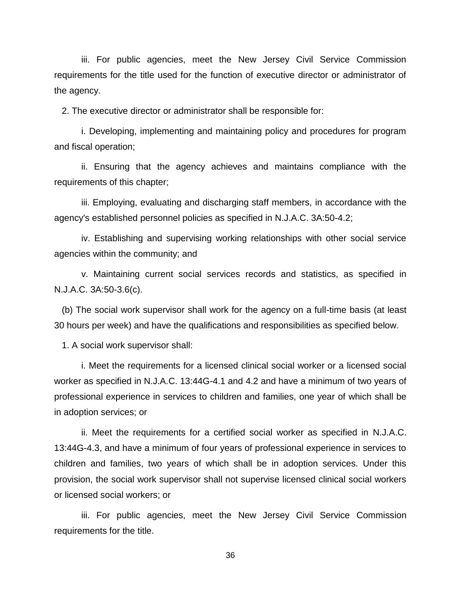iii. For public agencies, meet the New Jersey Civil Service Commission requirements for the title used for the function of executive director or administrator of the agency.

2. The executive director or administrator shall be responsible for:

 i. Developing, implementing and maintaining policy and procedures for program and fiscal operation;

 ii. Ensuring that the agency achieves and maintains compliance with the requirements of this chapter;

 iii. Employing, evaluating and discharging staff members, in accordance with the agency's established personnel policies as specified in N.J.A.C. 3A:50-4.2;

 iv. Establishing and supervising working relationships with other social service agencies within the community; and

 v. Maintaining current social services records and statistics, as specified in N.J.A.C. 3A:50-3.6(c).

 (b) The social work supervisor shall work for the agency on a full-time basis (at least 30 hours per week) and have the qualifications and responsibilities as specified below.

1. A social work supervisor shall:

 i. Meet the requirements for a licensed clinical social worker or a licensed social worker as specified in N.J.A.C. 13:44G-4.1 and 4.2 and have a minimum of two years of professional experience in services to children and families, one year of which shall be in adoption services; or

 ii. Meet the requirements for a certified social worker as specified in N.J.A.C. 13:44G-4.3, and have a minimum of four years of professional experience in services to children and families, two years of which shall be in adoption services. Under this provision, the social work supervisor shall not supervise licensed clinical social workers or licensed social workers; or

 iii. For public agencies, meet the New Jersey Civil Service Commission requirements for the title.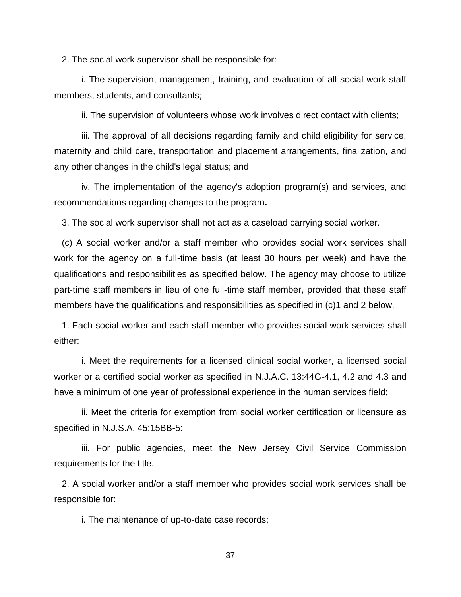2. The social work supervisor shall be responsible for:

 i. The supervision, management, training, and evaluation of all social work staff members, students, and consultants;

ii. The supervision of volunteers whose work involves direct contact with clients;

 iii. The approval of all decisions regarding family and child eligibility for service, maternity and child care, transportation and placement arrangements, finalization, and any other changes in the child's legal status; and

 iv. The implementation of the agency's adoption program(s) and services, and recommendations regarding changes to the program**.**

3. The social work supervisor shall not act as a caseload carrying social worker.

 (c) A social worker and/or a staff member who provides social work services shall work for the agency on a full-time basis (at least 30 hours per week) and have the qualifications and responsibilities as specified below. The agency may choose to utilize part-time staff members in lieu of one full-time staff member, provided that these staff members have the qualifications and responsibilities as specified in (c)1 and 2 below.

 1. Each social worker and each staff member who provides social work services shall either:

 i. Meet the requirements for a licensed clinical social worker, a licensed social worker or a certified social worker as specified in N.J.A.C. 13:44G-4.1, 4.2 and 4.3 and have a minimum of one year of professional experience in the human services field;

 ii. Meet the criteria for exemption from social worker certification or licensure as specified in N.J.S.A. 45:15BB-5:

 iii. For public agencies, meet the New Jersey Civil Service Commission requirements for the title.

 2. A social worker and/or a staff member who provides social work services shall be responsible for:

i. The maintenance of up-to-date case records;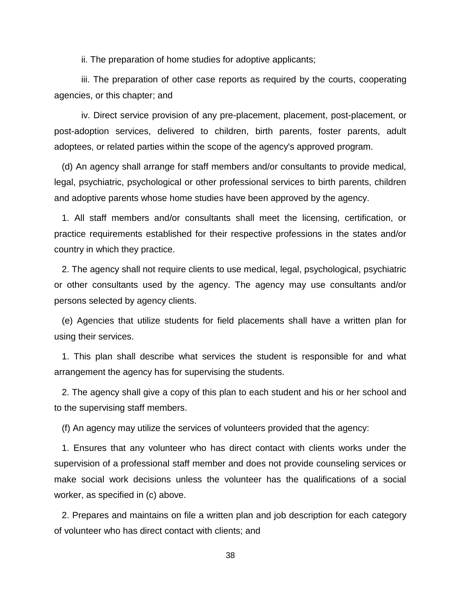ii. The preparation of home studies for adoptive applicants;

 iii. The preparation of other case reports as required by the courts, cooperating agencies, or this chapter; and

 iv. Direct service provision of any pre-placement, placement, post-placement, or post-adoption services, delivered to children, birth parents, foster parents, adult adoptees, or related parties within the scope of the agency's approved program.

 (d) An agency shall arrange for staff members and/or consultants to provide medical, legal, psychiatric, psychological or other professional services to birth parents, children and adoptive parents whose home studies have been approved by the agency.

 1. All staff members and/or consultants shall meet the licensing, certification, or practice requirements established for their respective professions in the states and/or country in which they practice.

 2. The agency shall not require clients to use medical, legal, psychological, psychiatric or other consultants used by the agency. The agency may use consultants and/or persons selected by agency clients.

 (e) Agencies that utilize students for field placements shall have a written plan for using their services.

 1. This plan shall describe what services the student is responsible for and what arrangement the agency has for supervising the students.

 2. The agency shall give a copy of this plan to each student and his or her school and to the supervising staff members.

(f) An agency may utilize the services of volunteers provided that the agency:

 1. Ensures that any volunteer who has direct contact with clients works under the supervision of a professional staff member and does not provide counseling services or make social work decisions unless the volunteer has the qualifications of a social worker, as specified in (c) above.

 2. Prepares and maintains on file a written plan and job description for each category of volunteer who has direct contact with clients; and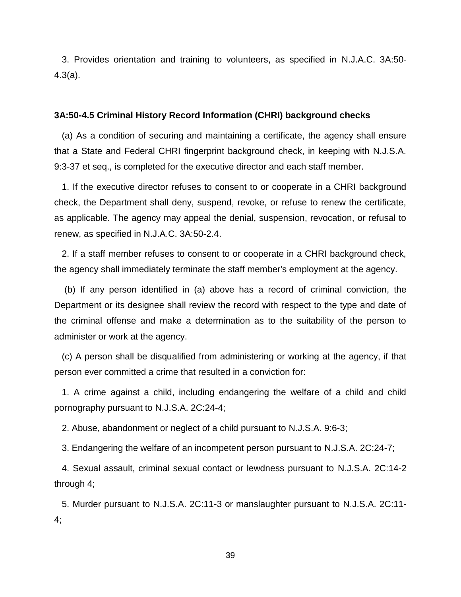3. Provides orientation and training to volunteers, as specified in N.J.A.C. 3A:50- 4.3(a).

#### **3A:50-4.5 Criminal History Record Information (CHRI) background checks**

 (a) As a condition of securing and maintaining a certificate, the agency shall ensure that a State and Federal CHRI fingerprint background check, in keeping with N.J.S.A. 9:3-37 et seq., is completed for the executive director and each staff member.

 1. If the executive director refuses to consent to or cooperate in a CHRI background check, the Department shall deny, suspend, revoke, or refuse to renew the certificate, as applicable. The agency may appeal the denial, suspension, revocation, or refusal to renew, as specified in N.J.A.C. 3A:50-2.4.

 2. If a staff member refuses to consent to or cooperate in a CHRI background check, the agency shall immediately terminate the staff member's employment at the agency.

(b) If any person identified in (a) above has a record of criminal conviction, the Department or its designee shall review the record with respect to the type and date of the criminal offense and make a determination as to the suitability of the person to administer or work at the agency.

 (c) A person shall be disqualified from administering or working at the agency, if that person ever committed a crime that resulted in a conviction for:

 1. A crime against a child, including endangering the welfare of a child and child pornography pursuant to N.J.S.A. 2C:24-4;

2. Abuse, abandonment or neglect of a child pursuant to N.J.S.A. 9:6-3;

3. Endangering the welfare of an incompetent person pursuant to N.J.S.A. 2C:24-7;

 4. Sexual assault, criminal sexual contact or lewdness pursuant to N.J.S.A. 2C:14-2 through 4;

 5. Murder pursuant to N.J.S.A. 2C:11-3 or manslaughter pursuant to N.J.S.A. 2C:11- 4;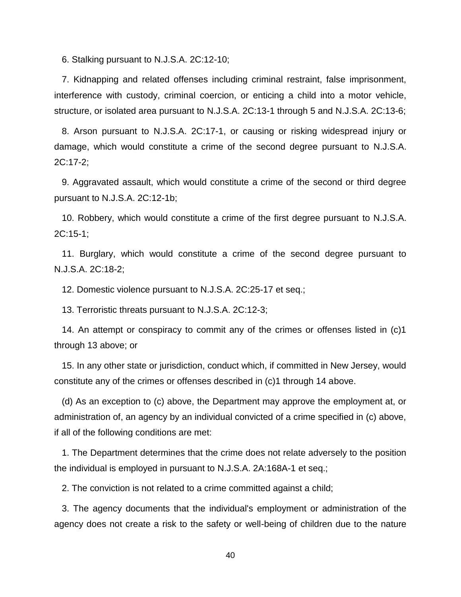6. Stalking pursuant to N.J.S.A. 2C:12-10;

 7. Kidnapping and related offenses including criminal restraint, false imprisonment, interference with custody, criminal coercion, or enticing a child into a motor vehicle, structure, or isolated area pursuant to N.J.S.A. 2C:13-1 through 5 and N.J.S.A. 2C:13-6;

 8. Arson pursuant to N.J.S.A. 2C:17-1, or causing or risking widespread injury or damage, which would constitute a crime of the second degree pursuant to N.J.S.A. 2C:17-2;

 9. Aggravated assault, which would constitute a crime of the second or third degree pursuant to N.J.S.A. 2C:12-1b;

 10. Robbery, which would constitute a crime of the first degree pursuant to N.J.S.A. 2C:15-1;

 11. Burglary, which would constitute a crime of the second degree pursuant to N.J.S.A. 2C:18-2;

12. Domestic violence pursuant to N.J.S.A. 2C:25-17 et seq.;

13. Terroristic threats pursuant to N.J.S.A. 2C:12-3;

 14. An attempt or conspiracy to commit any of the crimes or offenses listed in (c)1 through 13 above; or

 15. In any other state or jurisdiction, conduct which, if committed in New Jersey, would constitute any of the crimes or offenses described in (c)1 through 14 above.

 (d) As an exception to (c) above, the Department may approve the employment at, or administration of, an agency by an individual convicted of a crime specified in (c) above, if all of the following conditions are met:

 1. The Department determines that the crime does not relate adversely to the position the individual is employed in pursuant to N.J.S.A. 2A:168A-1 et seq.;

2. The conviction is not related to a crime committed against a child;

 3. The agency documents that the individual's employment or administration of the agency does not create a risk to the safety or well-being of children due to the nature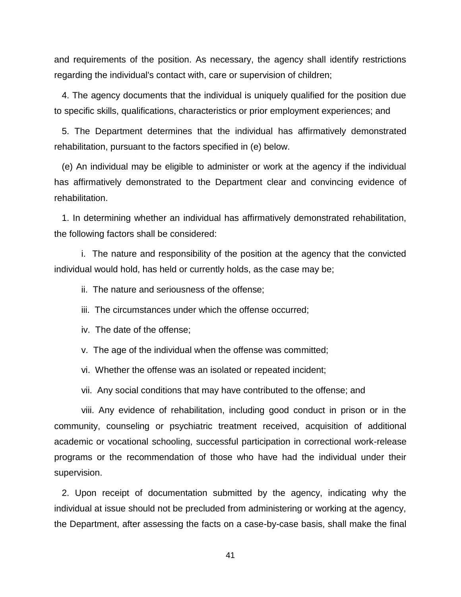and requirements of the position. As necessary, the agency shall identify restrictions regarding the individual's contact with, care or supervision of children;

 4. The agency documents that the individual is uniquely qualified for the position due to specific skills, qualifications, characteristics or prior employment experiences; and

 5. The Department determines that the individual has affirmatively demonstrated rehabilitation, pursuant to the factors specified in (e) below.

 (e) An individual may be eligible to administer or work at the agency if the individual has affirmatively demonstrated to the Department clear and convincing evidence of rehabilitation.

 1. In determining whether an individual has affirmatively demonstrated rehabilitation, the following factors shall be considered:

i. The nature and responsibility of the position at the agency that the convicted individual would hold, has held or currently holds, as the case may be;

ii. The nature and seriousness of the offense;

iii. The circumstances under which the offense occurred;

iv. The date of the offense;

v. The age of the individual when the offense was committed;

vi. Whether the offense was an isolated or repeated incident;

vii. Any social conditions that may have contributed to the offense; and

viii. Any evidence of rehabilitation, including good conduct in prison or in the community, counseling or psychiatric treatment received, acquisition of additional academic or vocational schooling, successful participation in correctional work-release programs or the recommendation of those who have had the individual under their supervision.

 2. Upon receipt of documentation submitted by the agency, indicating why the individual at issue should not be precluded from administering or working at the agency, the Department, after assessing the facts on a case-by-case basis, shall make the final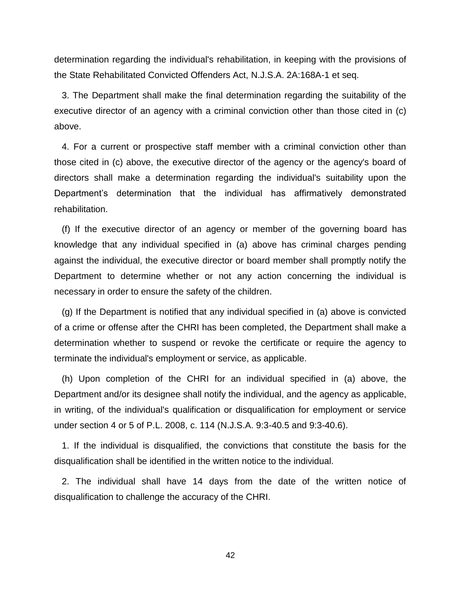determination regarding the individual's rehabilitation, in keeping with the provisions of the State Rehabilitated Convicted Offenders Act, N.J.S.A. 2A:168A-1 et seq.

 3. The Department shall make the final determination regarding the suitability of the executive director of an agency with a criminal conviction other than those cited in (c) above.

 4. For a current or prospective staff member with a criminal conviction other than those cited in (c) above, the executive director of the agency or the agency's board of directors shall make a determination regarding the individual's suitability upon the Department's determination that the individual has affirmatively demonstrated rehabilitation.

 (f) If the executive director of an agency or member of the governing board has knowledge that any individual specified in (a) above has criminal charges pending against the individual, the executive director or board member shall promptly notify the Department to determine whether or not any action concerning the individual is necessary in order to ensure the safety of the children.

 (g) If the Department is notified that any individual specified in (a) above is convicted of a crime or offense after the CHRI has been completed, the Department shall make a determination whether to suspend or revoke the certificate or require the agency to terminate the individual's employment or service, as applicable.

 (h) Upon completion of the CHRI for an individual specified in (a) above, the Department and/or its designee shall notify the individual, and the agency as applicable, in writing, of the individual's qualification or disqualification for employment or service under section 4 or 5 of P.L. 2008, c. 114 (N.J.S.A. 9:3-40.5 and 9:3-40.6).

 1. If the individual is disqualified, the convictions that constitute the basis for the disqualification shall be identified in the written notice to the individual.

 2. The individual shall have 14 days from the date of the written notice of disqualification to challenge the accuracy of the CHRI.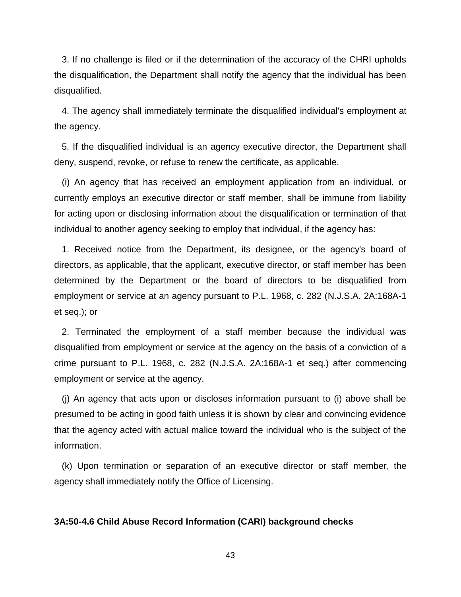3. If no challenge is filed or if the determination of the accuracy of the CHRI upholds the disqualification, the Department shall notify the agency that the individual has been disqualified.

 4. The agency shall immediately terminate the disqualified individual's employment at the agency.

 5. If the disqualified individual is an agency executive director, the Department shall deny, suspend, revoke, or refuse to renew the certificate, as applicable.

 (i) An agency that has received an employment application from an individual, or currently employs an executive director or staff member, shall be immune from liability for acting upon or disclosing information about the disqualification or termination of that individual to another agency seeking to employ that individual, if the agency has:

 1. Received notice from the Department, its designee, or the agency's board of directors, as applicable, that the applicant, executive director, or staff member has been determined by the Department or the board of directors to be disqualified from employment or service at an agency pursuant to P.L. 1968, c. 282 (N.J.S.A. 2A:168A-1 et seq.); or

 2. Terminated the employment of a staff member because the individual was disqualified from employment or service at the agency on the basis of a conviction of a crime pursuant to P.L. 1968, c. 282 (N.J.S.A. 2A:168A-1 et seq.) after commencing employment or service at the agency.

 (j) An agency that acts upon or discloses information pursuant to (i) above shall be presumed to be acting in good faith unless it is shown by clear and convincing evidence that the agency acted with actual malice toward the individual who is the subject of the information.

 (k) Upon termination or separation of an executive director or staff member, the agency shall immediately notify the Office of Licensing.

### **3A:50-4.6 Child Abuse Record Information (CARI) background checks**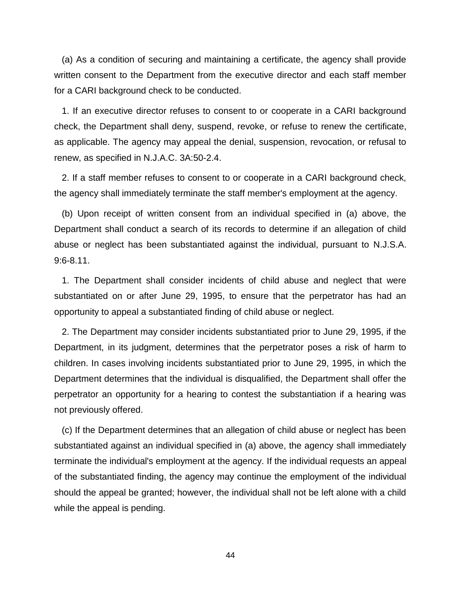(a) As a condition of securing and maintaining a certificate, the agency shall provide written consent to the Department from the executive director and each staff member for a CARI background check to be conducted.

 1. If an executive director refuses to consent to or cooperate in a CARI background check, the Department shall deny, suspend, revoke, or refuse to renew the certificate, as applicable. The agency may appeal the denial, suspension, revocation, or refusal to renew, as specified in N.J.A.C. 3A:50-2.4.

 2. If a staff member refuses to consent to or cooperate in a CARI background check, the agency shall immediately terminate the staff member's employment at the agency.

 (b) Upon receipt of written consent from an individual specified in (a) above, the Department shall conduct a search of its records to determine if an allegation of child abuse or neglect has been substantiated against the individual, pursuant to N.J.S.A. 9:6-8.11.

 1. The Department shall consider incidents of child abuse and neglect that were substantiated on or after June 29, 1995, to ensure that the perpetrator has had an opportunity to appeal a substantiated finding of child abuse or neglect.

 2. The Department may consider incidents substantiated prior to June 29, 1995, if the Department, in its judgment, determines that the perpetrator poses a risk of harm to children. In cases involving incidents substantiated prior to June 29, 1995, in which the Department determines that the individual is disqualified, the Department shall offer the perpetrator an opportunity for a hearing to contest the substantiation if a hearing was not previously offered.

 (c) If the Department determines that an allegation of child abuse or neglect has been substantiated against an individual specified in (a) above, the agency shall immediately terminate the individual's employment at the agency. If the individual requests an appeal of the substantiated finding, the agency may continue the employment of the individual should the appeal be granted; however, the individual shall not be left alone with a child while the appeal is pending.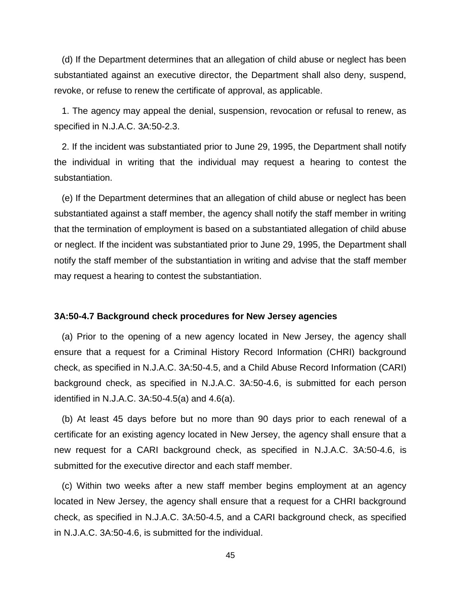(d) If the Department determines that an allegation of child abuse or neglect has been substantiated against an executive director, the Department shall also deny, suspend, revoke, or refuse to renew the certificate of approval, as applicable.

 1. The agency may appeal the denial, suspension, revocation or refusal to renew, as specified in N.J.A.C. 3A:50-2.3.

 2. If the incident was substantiated prior to June 29, 1995, the Department shall notify the individual in writing that the individual may request a hearing to contest the substantiation.

 (e) If the Department determines that an allegation of child abuse or neglect has been substantiated against a staff member, the agency shall notify the staff member in writing that the termination of employment is based on a substantiated allegation of child abuse or neglect. If the incident was substantiated prior to June 29, 1995, the Department shall notify the staff member of the substantiation in writing and advise that the staff member may request a hearing to contest the substantiation.

### **3A:50-4.7 Background check procedures for New Jersey agencies**

 (a) Prior to the opening of a new agency located in New Jersey, the agency shall ensure that a request for a Criminal History Record Information (CHRI) background check, as specified in N.J.A.C. 3A:50-4.5, and a Child Abuse Record Information (CARI) background check, as specified in N.J.A.C. 3A:50-4.6, is submitted for each person identified in N.J.A.C. 3A:50-4.5(a) and 4.6(a).

 (b) At least 45 days before but no more than 90 days prior to each renewal of a certificate for an existing agency located in New Jersey, the agency shall ensure that a new request for a CARI background check, as specified in N.J.A.C. 3A:50-4.6, is submitted for the executive director and each staff member.

 (c) Within two weeks after a new staff member begins employment at an agency located in New Jersey, the agency shall ensure that a request for a CHRI background check, as specified in N.J.A.C. 3A:50-4.5, and a CARI background check, as specified in N.J.A.C. 3A:50-4.6, is submitted for the individual.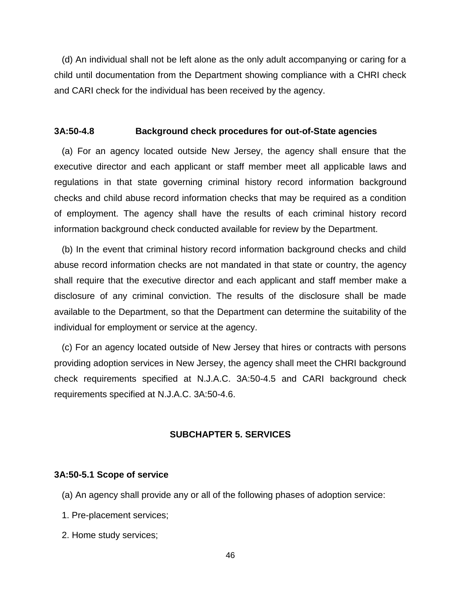(d) An individual shall not be left alone as the only adult accompanying or caring for a child until documentation from the Department showing compliance with a CHRI check and CARI check for the individual has been received by the agency.

#### **3A:50-4.8 Background check procedures for out-of-State agencies**

 (a) For an agency located outside New Jersey, the agency shall ensure that the executive director and each applicant or staff member meet all applicable laws and regulations in that state governing criminal history record information background checks and child abuse record information checks that may be required as a condition of employment. The agency shall have the results of each criminal history record information background check conducted available for review by the Department.

 (b) In the event that criminal history record information background checks and child abuse record information checks are not mandated in that state or country, the agency shall require that the executive director and each applicant and staff member make a disclosure of any criminal conviction. The results of the disclosure shall be made available to the Department, so that the Department can determine the suitability of the individual for employment or service at the agency.

 (c) For an agency located outside of New Jersey that hires or contracts with persons providing adoption services in New Jersey, the agency shall meet the CHRI background check requirements specified at N.J.A.C. 3A:50-4.5 and CARI background check requirements specified at N.J.A.C. 3A:50-4.6.

# **SUBCHAPTER 5. SERVICES**

### **3A:50-5.1 Scope of service**

(a) An agency shall provide any or all of the following phases of adoption service:

- 1. Pre-placement services;
- 2. Home study services;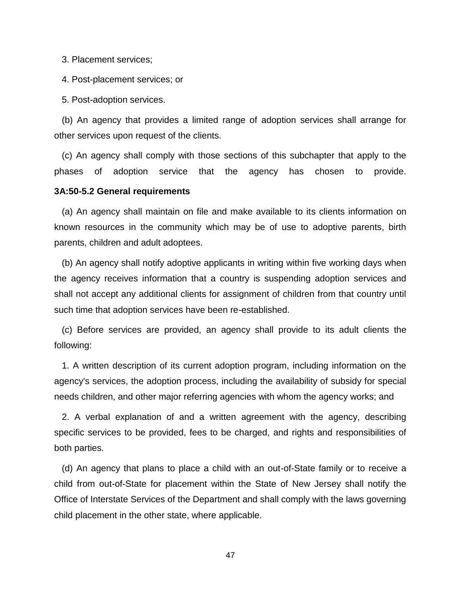3. Placement services;

4. Post-placement services; or

5. Post-adoption services.

 (b) An agency that provides a limited range of adoption services shall arrange for other services upon request of the clients.

 (c) An agency shall comply with those sections of this subchapter that apply to the phases of adoption service that the agency has chosen to provide.

### **3A:50-5.2 General requirements**

 (a) An agency shall maintain on file and make available to its clients information on known resources in the community which may be of use to adoptive parents, birth parents, children and adult adoptees.

 (b) An agency shall notify adoptive applicants in writing within five working days when the agency receives information that a country is suspending adoption services and shall not accept any additional clients for assignment of children from that country until such time that adoption services have been re-established.

 (c) Before services are provided, an agency shall provide to its adult clients the following:

 1. A written description of its current adoption program, including information on the agency's services, the adoption process, including the availability of subsidy for special needs children, and other major referring agencies with whom the agency works; and

 2. A verbal explanation of and a written agreement with the agency, describing specific services to be provided, fees to be charged, and rights and responsibilities of both parties.

 (d) An agency that plans to place a child with an out-of-State family or to receive a child from out-of-State for placement within the State of New Jersey shall notify the Office of Interstate Services of the Department and shall comply with the laws governing child placement in the other state, where applicable.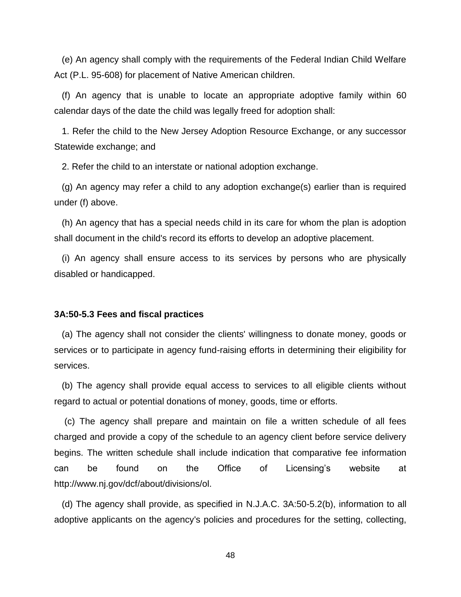(e) An agency shall comply with the requirements of the Federal Indian Child Welfare Act (P.L. 95-608) for placement of Native American children.

 (f) An agency that is unable to locate an appropriate adoptive family within 60 calendar days of the date the child was legally freed for adoption shall:

 1. Refer the child to the New Jersey Adoption Resource Exchange, or any successor Statewide exchange; and

2. Refer the child to an interstate or national adoption exchange.

 (g) An agency may refer a child to any adoption exchange(s) earlier than is required under (f) above.

 (h) An agency that has a special needs child in its care for whom the plan is adoption shall document in the child's record its efforts to develop an adoptive placement.

 (i) An agency shall ensure access to its services by persons who are physically disabled or handicapped.

#### **3A:50-5.3 Fees and fiscal practices**

 (a) The agency shall not consider the clients' willingness to donate money, goods or services or to participate in agency fund-raising efforts in determining their eligibility for services.

 (b) The agency shall provide equal access to services to all eligible clients without regard to actual or potential donations of money, goods, time or efforts.

(c) The agency shall prepare and maintain on file a written schedule of all fees charged and provide a copy of the schedule to an agency client before service delivery begins. The written schedule shall include indication that comparative fee information can be found on the Office of Licensing's website at http://www.nj.gov/dcf/about/divisions/ol.

 (d) The agency shall provide, as specified in N.J.A.C. 3A:50-5.2(b), information to all adoptive applicants on the agency's policies and procedures for the setting, collecting,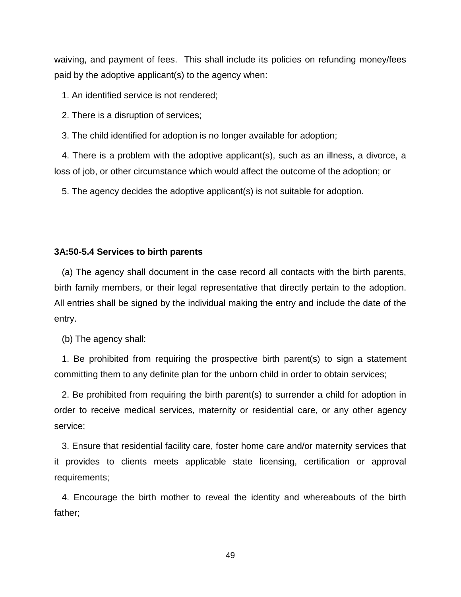waiving, and payment of fees. This shall include its policies on refunding money/fees paid by the adoptive applicant(s) to the agency when:

1. An identified service is not rendered;

2. There is a disruption of services;

3. The child identified for adoption is no longer available for adoption;

 4. There is a problem with the adoptive applicant(s), such as an illness, a divorce, a loss of job, or other circumstance which would affect the outcome of the adoption; or

5. The agency decides the adoptive applicant(s) is not suitable for adoption.

#### **3A:50-5.4 Services to birth parents**

 (a) The agency shall document in the case record all contacts with the birth parents, birth family members, or their legal representative that directly pertain to the adoption. All entries shall be signed by the individual making the entry and include the date of the entry.

(b) The agency shall:

 1. Be prohibited from requiring the prospective birth parent(s) to sign a statement committing them to any definite plan for the unborn child in order to obtain services;

 2. Be prohibited from requiring the birth parent(s) to surrender a child for adoption in order to receive medical services, maternity or residential care, or any other agency service;

 3. Ensure that residential facility care, foster home care and/or maternity services that it provides to clients meets applicable state licensing, certification or approval requirements;

 4. Encourage the birth mother to reveal the identity and whereabouts of the birth father;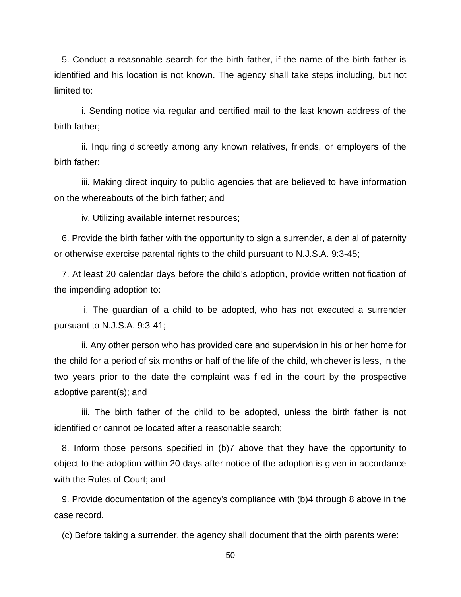5. Conduct a reasonable search for the birth father, if the name of the birth father is identified and his location is not known. The agency shall take steps including, but not limited to:

 i. Sending notice via regular and certified mail to the last known address of the birth father;

ii. Inquiring discreetly among any known relatives, friends, or employers of the birth father;

 iii. Making direct inquiry to public agencies that are believed to have information on the whereabouts of the birth father; and

iv. Utilizing available internet resources;

 6. Provide the birth father with the opportunity to sign a surrender, a denial of paternity or otherwise exercise parental rights to the child pursuant to N.J.S.A. 9:3-45;

 7. At least 20 calendar days before the child's adoption, provide written notification of the impending adoption to:

 i. The guardian of a child to be adopted, who has not executed a surrender pursuant to N.J.S.A. 9:3-41;

 ii. Any other person who has provided care and supervision in his or her home for the child for a period of six months or half of the life of the child, whichever is less, in the two years prior to the date the complaint was filed in the court by the prospective adoptive parent(s); and

 iii. The birth father of the child to be adopted, unless the birth father is not identified or cannot be located after a reasonable search;

 8. Inform those persons specified in (b)7 above that they have the opportunity to object to the adoption within 20 days after notice of the adoption is given in accordance with the Rules of Court; and

 9. Provide documentation of the agency's compliance with (b)4 through 8 above in the case record.

(c) Before taking a surrender, the agency shall document that the birth parents were: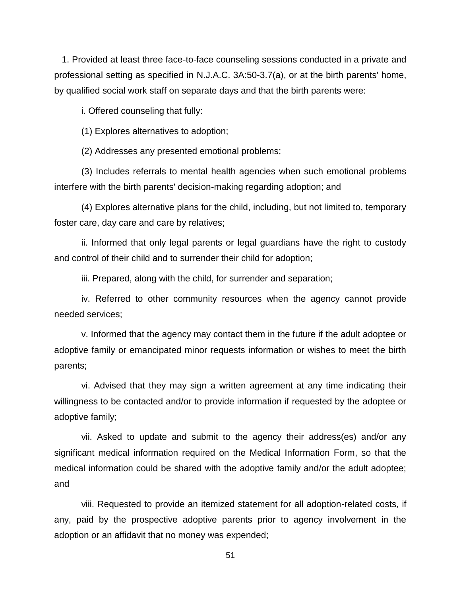1. Provided at least three face-to-face counseling sessions conducted in a private and professional setting as specified in N.J.A.C. 3A:50-3.7(a), or at the birth parents' home, by qualified social work staff on separate days and that the birth parents were:

i. Offered counseling that fully:

(1) Explores alternatives to adoption;

(2) Addresses any presented emotional problems;

 (3) Includes referrals to mental health agencies when such emotional problems interfere with the birth parents' decision-making regarding adoption; and

 (4) Explores alternative plans for the child, including, but not limited to, temporary foster care, day care and care by relatives;

 ii. Informed that only legal parents or legal guardians have the right to custody and control of their child and to surrender their child for adoption;

iii. Prepared, along with the child, for surrender and separation;

 iv. Referred to other community resources when the agency cannot provide needed services;

 v. Informed that the agency may contact them in the future if the adult adoptee or adoptive family or emancipated minor requests information or wishes to meet the birth parents;

 vi. Advised that they may sign a written agreement at any time indicating their willingness to be contacted and/or to provide information if requested by the adoptee or adoptive family;

 vii. Asked to update and submit to the agency their address(es) and/or any significant medical information required on the Medical Information Form, so that the medical information could be shared with the adoptive family and/or the adult adoptee; and

 viii. Requested to provide an itemized statement for all adoption-related costs, if any, paid by the prospective adoptive parents prior to agency involvement in the adoption or an affidavit that no money was expended;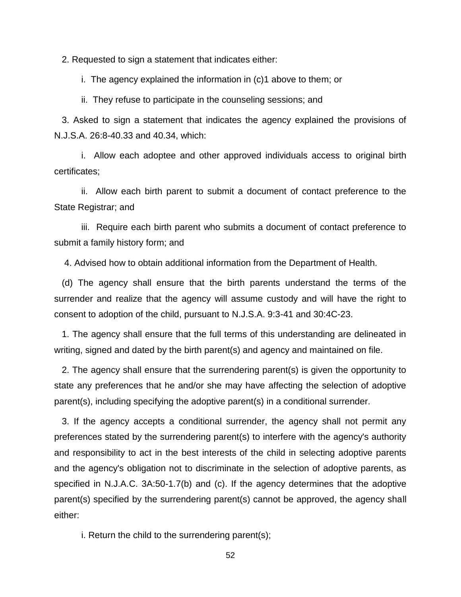2. Requested to sign a statement that indicates either:

i. The agency explained the information in (c)1 above to them; or

ii. They refuse to participate in the counseling sessions; and

 3. Asked to sign a statement that indicates the agency explained the provisions of N.J.S.A. 26:8-40.33 and 40.34, which:

i. Allow each adoptee and other approved individuals access to original birth certificates;

ii. Allow each birth parent to submit a document of contact preference to the State Registrar; and

iii. Require each birth parent who submits a document of contact preference to submit a family history form; and

4. Advised how to obtain additional information from the Department of Health.

 (d) The agency shall ensure that the birth parents understand the terms of the surrender and realize that the agency will assume custody and will have the right to consent to adoption of the child, pursuant to N.J.S.A. 9:3-41 and 30:4C-23.

 1. The agency shall ensure that the full terms of this understanding are delineated in writing, signed and dated by the birth parent(s) and agency and maintained on file.

 2. The agency shall ensure that the surrendering parent(s) is given the opportunity to state any preferences that he and/or she may have affecting the selection of adoptive parent(s), including specifying the adoptive parent(s) in a conditional surrender.

 3. If the agency accepts a conditional surrender, the agency shall not permit any preferences stated by the surrendering parent(s) to interfere with the agency's authority and responsibility to act in the best interests of the child in selecting adoptive parents and the agency's obligation not to discriminate in the selection of adoptive parents, as specified in N.J.A.C. 3A:50-1.7(b) and (c). If the agency determines that the adoptive parent(s) specified by the surrendering parent(s) cannot be approved, the agency shall either:

i. Return the child to the surrendering parent(s);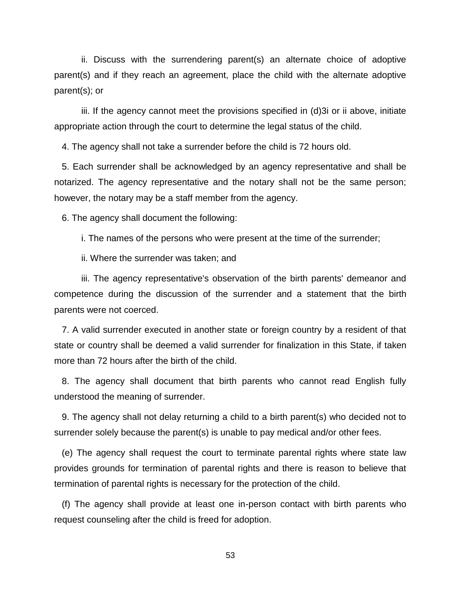ii. Discuss with the surrendering parent(s) an alternate choice of adoptive parent(s) and if they reach an agreement, place the child with the alternate adoptive parent(s); or

 iii. If the agency cannot meet the provisions specified in (d)3i or ii above, initiate appropriate action through the court to determine the legal status of the child.

4. The agency shall not take a surrender before the child is 72 hours old.

 5. Each surrender shall be acknowledged by an agency representative and shall be notarized. The agency representative and the notary shall not be the same person; however, the notary may be a staff member from the agency.

6. The agency shall document the following:

i. The names of the persons who were present at the time of the surrender;

ii. Where the surrender was taken; and

 iii. The agency representative's observation of the birth parents' demeanor and competence during the discussion of the surrender and a statement that the birth parents were not coerced.

 7. A valid surrender executed in another state or foreign country by a resident of that state or country shall be deemed a valid surrender for finalization in this State, if taken more than 72 hours after the birth of the child.

 8. The agency shall document that birth parents who cannot read English fully understood the meaning of surrender.

 9. The agency shall not delay returning a child to a birth parent(s) who decided not to surrender solely because the parent(s) is unable to pay medical and/or other fees.

 (e) The agency shall request the court to terminate parental rights where state law provides grounds for termination of parental rights and there is reason to believe that termination of parental rights is necessary for the protection of the child.

 (f) The agency shall provide at least one in-person contact with birth parents who request counseling after the child is freed for adoption.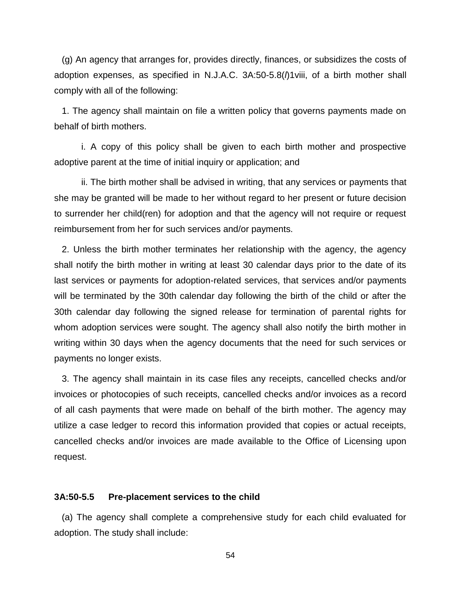(g) An agency that arranges for, provides directly, finances, or subsidizes the costs of adoption expenses, as specified in N.J.A.C. 3A:50-5.8(*l*)1viii, of a birth mother shall comply with all of the following:

 1. The agency shall maintain on file a written policy that governs payments made on behalf of birth mothers.

 i. A copy of this policy shall be given to each birth mother and prospective adoptive parent at the time of initial inquiry or application; and

 ii. The birth mother shall be advised in writing, that any services or payments that she may be granted will be made to her without regard to her present or future decision to surrender her child(ren) for adoption and that the agency will not require or request reimbursement from her for such services and/or payments.

 2. Unless the birth mother terminates her relationship with the agency, the agency shall notify the birth mother in writing at least 30 calendar days prior to the date of its last services or payments for adoption-related services, that services and/or payments will be terminated by the 30th calendar day following the birth of the child or after the 30th calendar day following the signed release for termination of parental rights for whom adoption services were sought. The agency shall also notify the birth mother in writing within 30 days when the agency documents that the need for such services or payments no longer exists.

 3. The agency shall maintain in its case files any receipts, cancelled checks and/or invoices or photocopies of such receipts, cancelled checks and/or invoices as a record of all cash payments that were made on behalf of the birth mother. The agency may utilize a case ledger to record this information provided that copies or actual receipts, cancelled checks and/or invoices are made available to the Office of Licensing upon request.

# **3A:50-5.5 Pre-placement services to the child**

 (a) The agency shall complete a comprehensive study for each child evaluated for adoption. The study shall include: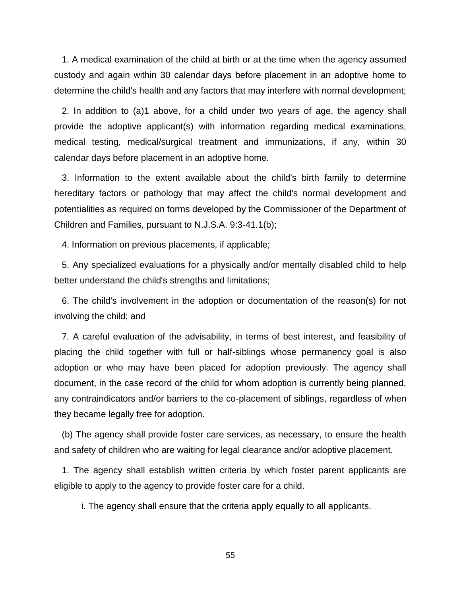1. A medical examination of the child at birth or at the time when the agency assumed custody and again within 30 calendar days before placement in an adoptive home to determine the child's health and any factors that may interfere with normal development;

 2. In addition to (a)1 above, for a child under two years of age, the agency shall provide the adoptive applicant(s) with information regarding medical examinations, medical testing, medical/surgical treatment and immunizations, if any, within 30 calendar days before placement in an adoptive home.

 3. Information to the extent available about the child's birth family to determine hereditary factors or pathology that may affect the child's normal development and potentialities as required on forms developed by the Commissioner of the Department of Children and Families, pursuant to N.J.S.A. 9:3-41.1(b);

4. Information on previous placements, if applicable;

 5. Any specialized evaluations for a physically and/or mentally disabled child to help better understand the child's strengths and limitations;

 6. The child's involvement in the adoption or documentation of the reason(s) for not involving the child; and

 7. A careful evaluation of the advisability, in terms of best interest, and feasibility of placing the child together with full or half-siblings whose permanency goal is also adoption or who may have been placed for adoption previously. The agency shall document, in the case record of the child for whom adoption is currently being planned, any contraindicators and/or barriers to the co-placement of siblings, regardless of when they became legally free for adoption.

 (b) The agency shall provide foster care services, as necessary, to ensure the health and safety of children who are waiting for legal clearance and/or adoptive placement.

 1. The agency shall establish written criteria by which foster parent applicants are eligible to apply to the agency to provide foster care for a child.

i. The agency shall ensure that the criteria apply equally to all applicants.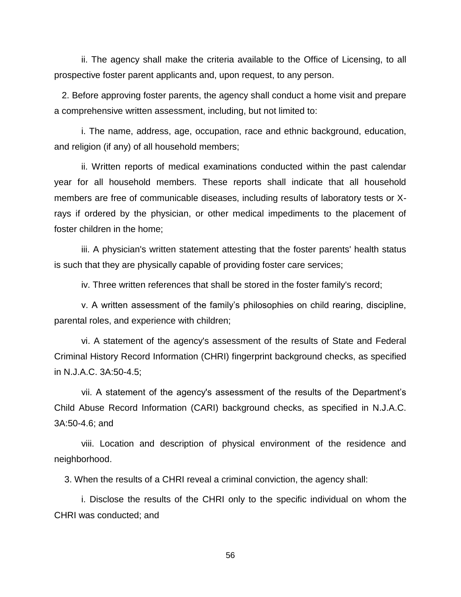ii. The agency shall make the criteria available to the Office of Licensing, to all prospective foster parent applicants and, upon request, to any person.

 2. Before approving foster parents, the agency shall conduct a home visit and prepare a comprehensive written assessment, including, but not limited to:

 i. The name, address, age, occupation, race and ethnic background, education, and religion (if any) of all household members;

 ii. Written reports of medical examinations conducted within the past calendar year for all household members. These reports shall indicate that all household members are free of communicable diseases, including results of laboratory tests or Xrays if ordered by the physician, or other medical impediments to the placement of foster children in the home;

 iii. A physician's written statement attesting that the foster parents' health status is such that they are physically capable of providing foster care services;

iv. Three written references that shall be stored in the foster family's record;

 v. A written assessment of the family's philosophies on child rearing, discipline, parental roles, and experience with children;

 vi. A statement of the agency's assessment of the results of State and Federal Criminal History Record Information (CHRI) fingerprint background checks, as specified in N.J.A.C. 3A:50-4.5;

 vii. A statement of the agency's assessment of the results of the Department's Child Abuse Record Information (CARI) background checks, as specified in N.J.A.C. 3A:50-4.6; and

 viii. Location and description of physical environment of the residence and neighborhood.

3. When the results of a CHRI reveal a criminal conviction, the agency shall:

 i. Disclose the results of the CHRI only to the specific individual on whom the CHRI was conducted; and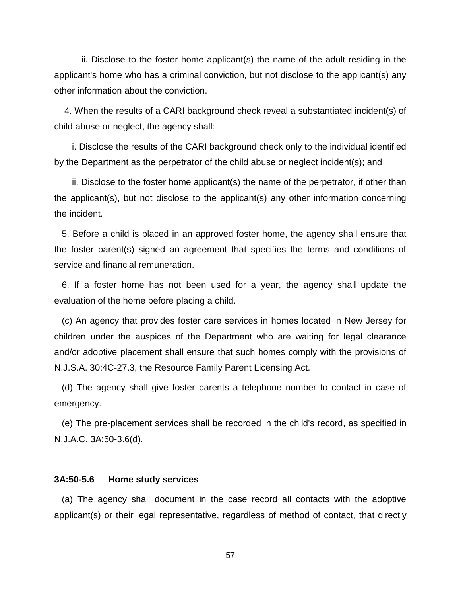ii. Disclose to the foster home applicant(s) the name of the adult residing in the applicant's home who has a criminal conviction, but not disclose to the applicant(s) any other information about the conviction.

4. When the results of a CARI background check reveal a substantiated incident(s) of child abuse or neglect, the agency shall:

 i. Disclose the results of the CARI background check only to the individual identified by the Department as the perpetrator of the child abuse or neglect incident(s); and

 ii. Disclose to the foster home applicant(s) the name of the perpetrator, if other than the applicant(s), but not disclose to the applicant(s) any other information concerning the incident.

 5. Before a child is placed in an approved foster home, the agency shall ensure that the foster parent(s) signed an agreement that specifies the terms and conditions of service and financial remuneration.

 6. If a foster home has not been used for a year, the agency shall update the evaluation of the home before placing a child.

 (c) An agency that provides foster care services in homes located in New Jersey for children under the auspices of the Department who are waiting for legal clearance and/or adoptive placement shall ensure that such homes comply with the provisions of N.J.S.A. 30:4C-27.3, the Resource Family Parent Licensing Act.

 (d) The agency shall give foster parents a telephone number to contact in case of emergency.

 (e) The pre-placement services shall be recorded in the child's record, as specified in N.J.A.C. 3A:50-3.6(d).

# **3A:50-5.6 Home study services**

 (a) The agency shall document in the case record all contacts with the adoptive applicant(s) or their legal representative, regardless of method of contact, that directly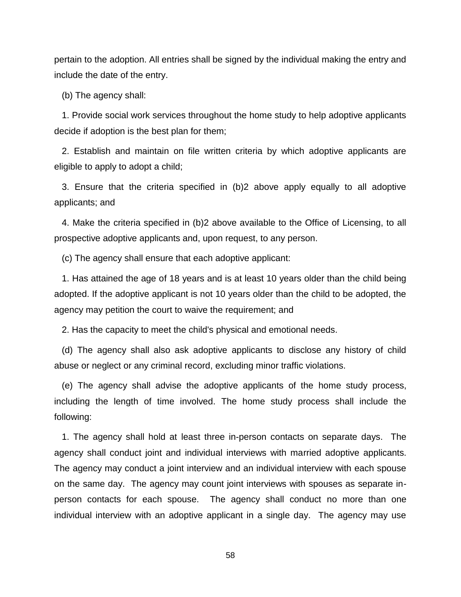pertain to the adoption. All entries shall be signed by the individual making the entry and include the date of the entry.

(b) The agency shall:

 1. Provide social work services throughout the home study to help adoptive applicants decide if adoption is the best plan for them;

 2. Establish and maintain on file written criteria by which adoptive applicants are eligible to apply to adopt a child;

 3. Ensure that the criteria specified in (b)2 above apply equally to all adoptive applicants; and

 4. Make the criteria specified in (b)2 above available to the Office of Licensing, to all prospective adoptive applicants and, upon request, to any person.

(c) The agency shall ensure that each adoptive applicant:

 1. Has attained the age of 18 years and is at least 10 years older than the child being adopted. If the adoptive applicant is not 10 years older than the child to be adopted, the agency may petition the court to waive the requirement; and

2. Has the capacity to meet the child's physical and emotional needs.

 (d) The agency shall also ask adoptive applicants to disclose any history of child abuse or neglect or any criminal record, excluding minor traffic violations.

 (e) The agency shall advise the adoptive applicants of the home study process, including the length of time involved. The home study process shall include the following:

 1. The agency shall hold at least three in-person contacts on separate days. The agency shall conduct joint and individual interviews with married adoptive applicants. The agency may conduct a joint interview and an individual interview with each spouse on the same day. The agency may count joint interviews with spouses as separate inperson contacts for each spouse. The agency shall conduct no more than one individual interview with an adoptive applicant in a single day. The agency may use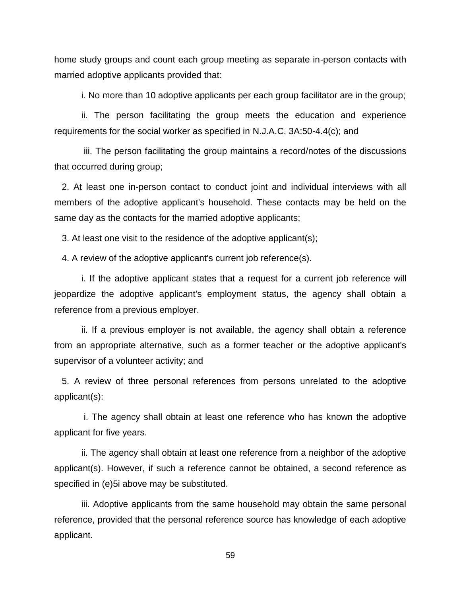home study groups and count each group meeting as separate in-person contacts with married adoptive applicants provided that:

i. No more than 10 adoptive applicants per each group facilitator are in the group;

 ii. The person facilitating the group meets the education and experience requirements for the social worker as specified in N.J.A.C. 3A:50-4.4(c); and

 iii. The person facilitating the group maintains a record/notes of the discussions that occurred during group;

 2. At least one in-person contact to conduct joint and individual interviews with all members of the adoptive applicant's household. These contacts may be held on the same day as the contacts for the married adoptive applicants;

3. At least one visit to the residence of the adoptive applicant(s);

4. A review of the adoptive applicant's current job reference(s).

 i. If the adoptive applicant states that a request for a current job reference will jeopardize the adoptive applicant's employment status, the agency shall obtain a reference from a previous employer.

 ii. If a previous employer is not available, the agency shall obtain a reference from an appropriate alternative, such as a former teacher or the adoptive applicant's supervisor of a volunteer activity; and

 5. A review of three personal references from persons unrelated to the adoptive applicant(s):

 i. The agency shall obtain at least one reference who has known the adoptive applicant for five years.

 ii. The agency shall obtain at least one reference from a neighbor of the adoptive applicant(s). However, if such a reference cannot be obtained, a second reference as specified in (e)5i above may be substituted.

 iii. Adoptive applicants from the same household may obtain the same personal reference, provided that the personal reference source has knowledge of each adoptive applicant.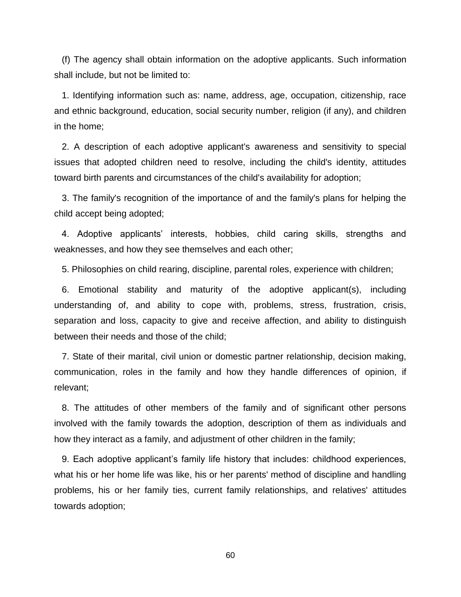(f) The agency shall obtain information on the adoptive applicants. Such information shall include, but not be limited to:

 1. Identifying information such as: name, address, age, occupation, citizenship, race and ethnic background, education, social security number, religion (if any), and children in the home;

 2. A description of each adoptive applicant's awareness and sensitivity to special issues that adopted children need to resolve, including the child's identity, attitudes toward birth parents and circumstances of the child's availability for adoption;

 3. The family's recognition of the importance of and the family's plans for helping the child accept being adopted;

 4. Adoptive applicants' interests, hobbies, child caring skills, strengths and weaknesses, and how they see themselves and each other;

5. Philosophies on child rearing, discipline, parental roles, experience with children;

 6. Emotional stability and maturity of the adoptive applicant(s), including understanding of, and ability to cope with, problems, stress, frustration, crisis, separation and loss, capacity to give and receive affection, and ability to distinguish between their needs and those of the child;

 7. State of their marital, civil union or domestic partner relationship, decision making, communication, roles in the family and how they handle differences of opinion, if relevant;

 8. The attitudes of other members of the family and of significant other persons involved with the family towards the adoption, description of them as individuals and how they interact as a family, and adjustment of other children in the family;

 9. Each adoptive applicant's family life history that includes: childhood experiences, what his or her home life was like, his or her parents' method of discipline and handling problems, his or her family ties, current family relationships, and relatives' attitudes towards adoption;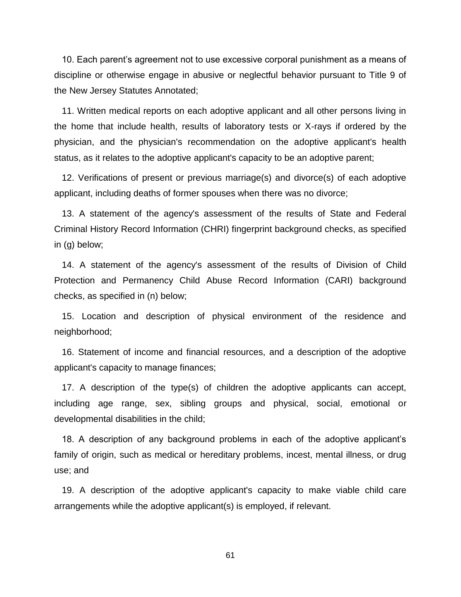10. Each parent's agreement not to use excessive corporal punishment as a means of discipline or otherwise engage in abusive or neglectful behavior pursuant to Title 9 of the New Jersey Statutes Annotated;

 11. Written medical reports on each adoptive applicant and all other persons living in the home that include health, results of laboratory tests or X-rays if ordered by the physician, and the physician's recommendation on the adoptive applicant's health status, as it relates to the adoptive applicant's capacity to be an adoptive parent;

 12. Verifications of present or previous marriage(s) and divorce(s) of each adoptive applicant, including deaths of former spouses when there was no divorce;

 13. A statement of the agency's assessment of the results of State and Federal Criminal History Record Information (CHRI) fingerprint background checks, as specified in (g) below;

 14. A statement of the agency's assessment of the results of Division of Child Protection and Permanency Child Abuse Record Information (CARI) background checks, as specified in (n) below;

 15. Location and description of physical environment of the residence and neighborhood;

 16. Statement of income and financial resources, and a description of the adoptive applicant's capacity to manage finances;

 17. A description of the type(s) of children the adoptive applicants can accept, including age range, sex, sibling groups and physical, social, emotional or developmental disabilities in the child;

 18. A description of any background problems in each of the adoptive applicant's family of origin, such as medical or hereditary problems, incest, mental illness, or drug use; and

 19. A description of the adoptive applicant's capacity to make viable child care arrangements while the adoptive applicant(s) is employed, if relevant.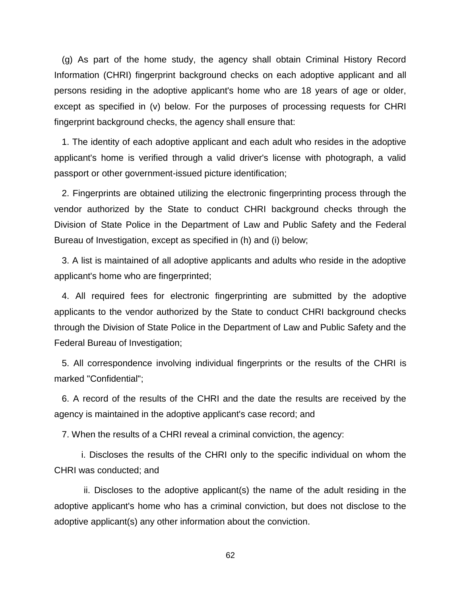(g) As part of the home study, the agency shall obtain Criminal History Record Information (CHRI) fingerprint background checks on each adoptive applicant and all persons residing in the adoptive applicant's home who are 18 years of age or older, except as specified in (v) below. For the purposes of processing requests for CHRI fingerprint background checks, the agency shall ensure that:

 1. The identity of each adoptive applicant and each adult who resides in the adoptive applicant's home is verified through a valid driver's license with photograph, a valid passport or other government-issued picture identification;

 2. Fingerprints are obtained utilizing the electronic fingerprinting process through the vendor authorized by the State to conduct CHRI background checks through the Division of State Police in the Department of Law and Public Safety and the Federal Bureau of Investigation, except as specified in (h) and (i) below;

 3. A list is maintained of all adoptive applicants and adults who reside in the adoptive applicant's home who are fingerprinted;

 4. All required fees for electronic fingerprinting are submitted by the adoptive applicants to the vendor authorized by the State to conduct CHRI background checks through the Division of State Police in the Department of Law and Public Safety and the Federal Bureau of Investigation;

 5. All correspondence involving individual fingerprints or the results of the CHRI is marked "Confidential";

 6. A record of the results of the CHRI and the date the results are received by the agency is maintained in the adoptive applicant's case record; and

7. When the results of a CHRI reveal a criminal conviction, the agency:

 i. Discloses the results of the CHRI only to the specific individual on whom the CHRI was conducted; and

 ii. Discloses to the adoptive applicant(s) the name of the adult residing in the adoptive applicant's home who has a criminal conviction, but does not disclose to the adoptive applicant(s) any other information about the conviction.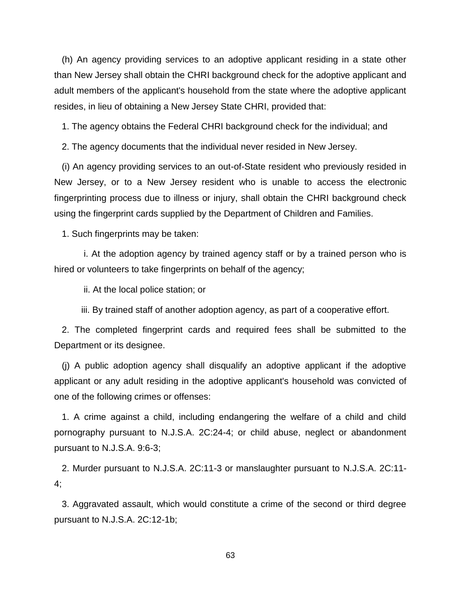(h) An agency providing services to an adoptive applicant residing in a state other than New Jersey shall obtain the CHRI background check for the adoptive applicant and adult members of the applicant's household from the state where the adoptive applicant resides, in lieu of obtaining a New Jersey State CHRI, provided that:

1. The agency obtains the Federal CHRI background check for the individual; and

2. The agency documents that the individual never resided in New Jersey.

 (i) An agency providing services to an out-of-State resident who previously resided in New Jersey, or to a New Jersey resident who is unable to access the electronic fingerprinting process due to illness or injury, shall obtain the CHRI background check using the fingerprint cards supplied by the Department of Children and Families.

1. Such fingerprints may be taken:

 i. At the adoption agency by trained agency staff or by a trained person who is hired or volunteers to take fingerprints on behalf of the agency;

ii. At the local police station; or

iii. By trained staff of another adoption agency, as part of a cooperative effort.

 2. The completed fingerprint cards and required fees shall be submitted to the Department or its designee.

 (j) A public adoption agency shall disqualify an adoptive applicant if the adoptive applicant or any adult residing in the adoptive applicant's household was convicted of one of the following crimes or offenses:

 1. A crime against a child, including endangering the welfare of a child and child pornography pursuant to N.J.S.A. 2C:24-4; or child abuse, neglect or abandonment pursuant to N.J.S.A. 9:6-3;

 2. Murder pursuant to N.J.S.A. 2C:11-3 or manslaughter pursuant to N.J.S.A. 2C:11- 4;

 3. Aggravated assault, which would constitute a crime of the second or third degree pursuant to N.J.S.A. 2C:12-1b;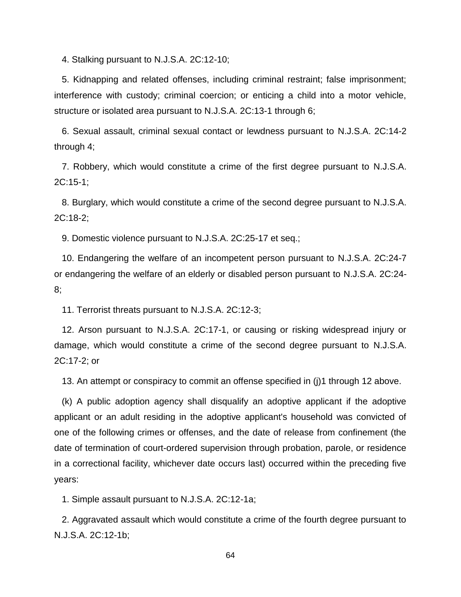4. Stalking pursuant to N.J.S.A. 2C:12-10;

 5. Kidnapping and related offenses, including criminal restraint; false imprisonment; interference with custody; criminal coercion; or enticing a child into a motor vehicle, structure or isolated area pursuant to N.J.S.A. 2C:13-1 through 6;

 6. Sexual assault, criminal sexual contact or lewdness pursuant to N.J.S.A. 2C:14-2 through 4;

 7. Robbery, which would constitute a crime of the first degree pursuant to N.J.S.A. 2C:15-1;

 8. Burglary, which would constitute a crime of the second degree pursuant to N.J.S.A. 2C:18-2;

9. Domestic violence pursuant to N.J.S.A. 2C:25-17 et seq.;

 10. Endangering the welfare of an incompetent person pursuant to N.J.S.A. 2C:24-7 or endangering the welfare of an elderly or disabled person pursuant to N.J.S.A. 2C:24- 8;

11. Terrorist threats pursuant to N.J.S.A. 2C:12-3;

 12. Arson pursuant to N.J.S.A. 2C:17-1, or causing or risking widespread injury or damage, which would constitute a crime of the second degree pursuant to N.J.S.A. 2C:17-2; or

13. An attempt or conspiracy to commit an offense specified in (j)1 through 12 above.

 (k) A public adoption agency shall disqualify an adoptive applicant if the adoptive applicant or an adult residing in the adoptive applicant's household was convicted of one of the following crimes or offenses, and the date of release from confinement (the date of termination of court-ordered supervision through probation, parole, or residence in a correctional facility, whichever date occurs last) occurred within the preceding five years:

1. Simple assault pursuant to N.J.S.A. 2C:12-1a;

 2. Aggravated assault which would constitute a crime of the fourth degree pursuant to N.J.S.A. 2C:12-1b;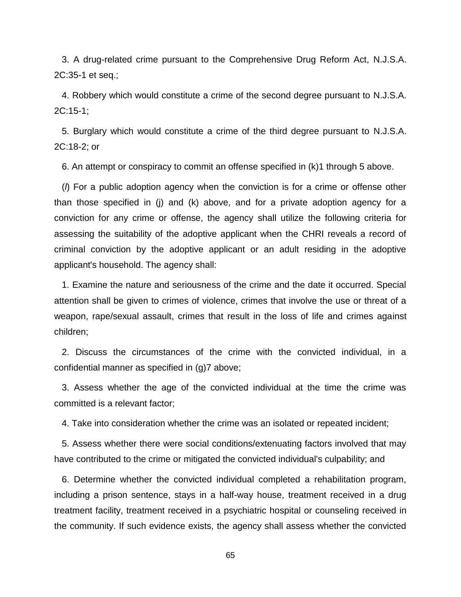3. A drug-related crime pursuant to the Comprehensive Drug Reform Act, N.J.S.A. 2C:35-1 et seq.;

 4. Robbery which would constitute a crime of the second degree pursuant to N.J.S.A. 2C:15-1;

 5. Burglary which would constitute a crime of the third degree pursuant to N.J.S.A. 2C:18-2; or

6. An attempt or conspiracy to commit an offense specified in (k)1 through 5 above.

 (*l*) For a public adoption agency when the conviction is for a crime or offense other than those specified in (j) and (k) above, and for a private adoption agency for a conviction for any crime or offense, the agency shall utilize the following criteria for assessing the suitability of the adoptive applicant when the CHRI reveals a record of criminal conviction by the adoptive applicant or an adult residing in the adoptive applicant's household. The agency shall:

 1. Examine the nature and seriousness of the crime and the date it occurred. Special attention shall be given to crimes of violence, crimes that involve the use or threat of a weapon, rape/sexual assault, crimes that result in the loss of life and crimes against children;

 2. Discuss the circumstances of the crime with the convicted individual, in a confidential manner as specified in (g)7 above;

 3. Assess whether the age of the convicted individual at the time the crime was committed is a relevant factor;

4. Take into consideration whether the crime was an isolated or repeated incident;

 5. Assess whether there were social conditions/extenuating factors involved that may have contributed to the crime or mitigated the convicted individual's culpability; and

 6. Determine whether the convicted individual completed a rehabilitation program, including a prison sentence, stays in a half-way house, treatment received in a drug treatment facility, treatment received in a psychiatric hospital or counseling received in the community. If such evidence exists, the agency shall assess whether the convicted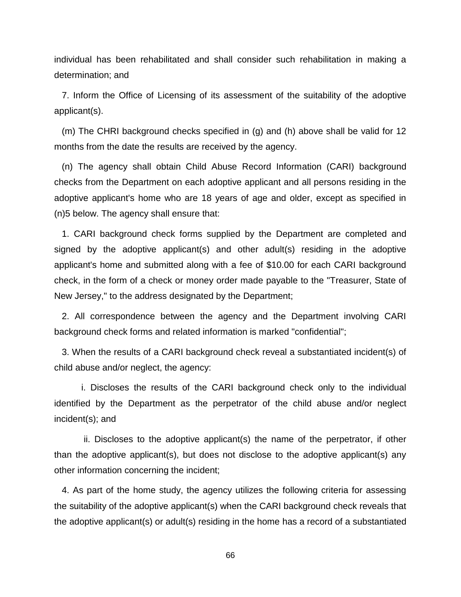individual has been rehabilitated and shall consider such rehabilitation in making a determination; and

 7. Inform the Office of Licensing of its assessment of the suitability of the adoptive applicant(s).

 (m) The CHRI background checks specified in (g) and (h) above shall be valid for 12 months from the date the results are received by the agency.

 (n) The agency shall obtain Child Abuse Record Information (CARI) background checks from the Department on each adoptive applicant and all persons residing in the adoptive applicant's home who are 18 years of age and older, except as specified in (n)5 below. The agency shall ensure that:

 1. CARI background check forms supplied by the Department are completed and signed by the adoptive applicant(s) and other adult(s) residing in the adoptive applicant's home and submitted along with a fee of \$10.00 for each CARI background check, in the form of a check or money order made payable to the "Treasurer, State of New Jersey," to the address designated by the Department;

 2. All correspondence between the agency and the Department involving CARI background check forms and related information is marked "confidential";

 3. When the results of a CARI background check reveal a substantiated incident(s) of child abuse and/or neglect, the agency:

 i. Discloses the results of the CARI background check only to the individual identified by the Department as the perpetrator of the child abuse and/or neglect incident(s); and

 ii. Discloses to the adoptive applicant(s) the name of the perpetrator, if other than the adoptive applicant(s), but does not disclose to the adoptive applicant(s) any other information concerning the incident;

 4. As part of the home study, the agency utilizes the following criteria for assessing the suitability of the adoptive applicant(s) when the CARI background check reveals that the adoptive applicant(s) or adult(s) residing in the home has a record of a substantiated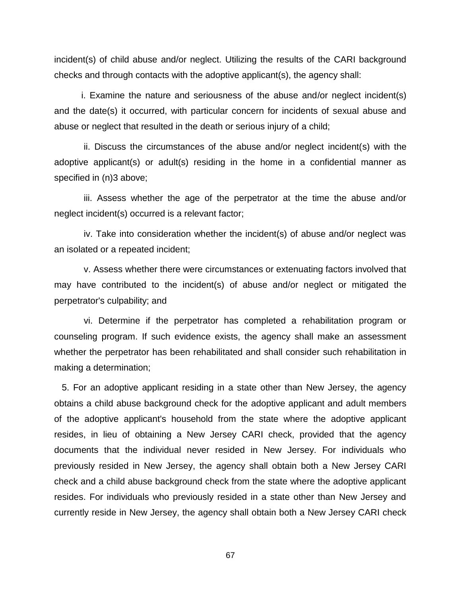incident(s) of child abuse and/or neglect. Utilizing the results of the CARI background checks and through contacts with the adoptive applicant(s), the agency shall:

 i. Examine the nature and seriousness of the abuse and/or neglect incident(s) and the date(s) it occurred, with particular concern for incidents of sexual abuse and abuse or neglect that resulted in the death or serious injury of a child;

 ii. Discuss the circumstances of the abuse and/or neglect incident(s) with the adoptive applicant(s) or adult(s) residing in the home in a confidential manner as specified in (n)3 above;

 iii. Assess whether the age of the perpetrator at the time the abuse and/or neglect incident(s) occurred is a relevant factor;

 iv. Take into consideration whether the incident(s) of abuse and/or neglect was an isolated or a repeated incident;

 v. Assess whether there were circumstances or extenuating factors involved that may have contributed to the incident(s) of abuse and/or neglect or mitigated the perpetrator's culpability; and

 vi. Determine if the perpetrator has completed a rehabilitation program or counseling program. If such evidence exists, the agency shall make an assessment whether the perpetrator has been rehabilitated and shall consider such rehabilitation in making a determination;

 5. For an adoptive applicant residing in a state other than New Jersey, the agency obtains a child abuse background check for the adoptive applicant and adult members of the adoptive applicant's household from the state where the adoptive applicant resides, in lieu of obtaining a New Jersey CARI check, provided that the agency documents that the individual never resided in New Jersey. For individuals who previously resided in New Jersey, the agency shall obtain both a New Jersey CARI check and a child abuse background check from the state where the adoptive applicant resides. For individuals who previously resided in a state other than New Jersey and currently reside in New Jersey, the agency shall obtain both a New Jersey CARI check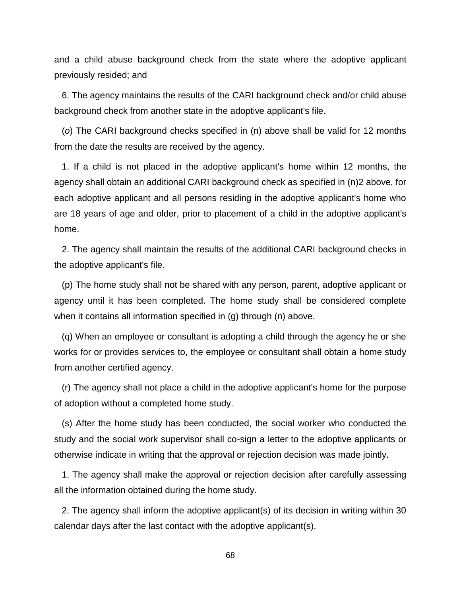and a child abuse background check from the state where the adoptive applicant previously resided; and

 6. The agency maintains the results of the CARI background check and/or child abuse background check from another state in the adoptive applicant's file.

 (*o*) The CARI background checks specified in (n) above shall be valid for 12 months from the date the results are received by the agency.

 1. If a child is not placed in the adoptive applicant's home within 12 months, the agency shall obtain an additional CARI background check as specified in (n)2 above, for each adoptive applicant and all persons residing in the adoptive applicant's home who are 18 years of age and older, prior to placement of a child in the adoptive applicant's home.

 2. The agency shall maintain the results of the additional CARI background checks in the adoptive applicant's file.

 (p) The home study shall not be shared with any person, parent, adoptive applicant or agency until it has been completed. The home study shall be considered complete when it contains all information specified in (g) through (n) above.

 (q) When an employee or consultant is adopting a child through the agency he or she works for or provides services to, the employee or consultant shall obtain a home study from another certified agency.

 (r) The agency shall not place a child in the adoptive applicant's home for the purpose of adoption without a completed home study.

 (s) After the home study has been conducted, the social worker who conducted the study and the social work supervisor shall co-sign a letter to the adoptive applicants or otherwise indicate in writing that the approval or rejection decision was made jointly.

 1. The agency shall make the approval or rejection decision after carefully assessing all the information obtained during the home study.

 2. The agency shall inform the adoptive applicant(s) of its decision in writing within 30 calendar days after the last contact with the adoptive applicant(s).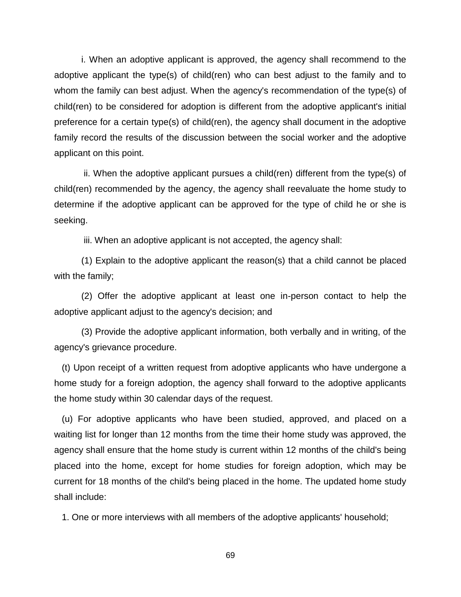i. When an adoptive applicant is approved, the agency shall recommend to the adoptive applicant the type(s) of child(ren) who can best adjust to the family and to whom the family can best adjust. When the agency's recommendation of the type(s) of child(ren) to be considered for adoption is different from the adoptive applicant's initial preference for a certain type(s) of child(ren), the agency shall document in the adoptive family record the results of the discussion between the social worker and the adoptive applicant on this point.

 ii. When the adoptive applicant pursues a child(ren) different from the type(s) of child(ren) recommended by the agency, the agency shall reevaluate the home study to determine if the adoptive applicant can be approved for the type of child he or she is seeking.

iii. When an adoptive applicant is not accepted, the agency shall:

 (1) Explain to the adoptive applicant the reason(s) that a child cannot be placed with the family;

 (2) Offer the adoptive applicant at least one in-person contact to help the adoptive applicant adjust to the agency's decision; and

 (3) Provide the adoptive applicant information, both verbally and in writing, of the agency's grievance procedure.

 (t) Upon receipt of a written request from adoptive applicants who have undergone a home study for a foreign adoption, the agency shall forward to the adoptive applicants the home study within 30 calendar days of the request.

 (u) For adoptive applicants who have been studied, approved, and placed on a waiting list for longer than 12 months from the time their home study was approved, the agency shall ensure that the home study is current within 12 months of the child's being placed into the home, except for home studies for foreign adoption, which may be current for 18 months of the child's being placed in the home. The updated home study shall include:

1. One or more interviews with all members of the adoptive applicants' household;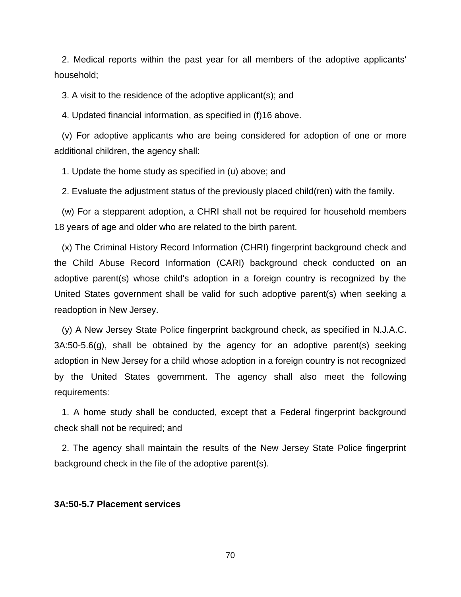2. Medical reports within the past year for all members of the adoptive applicants' household;

3. A visit to the residence of the adoptive applicant(s); and

4. Updated financial information, as specified in (f)16 above.

 (v) For adoptive applicants who are being considered for adoption of one or more additional children, the agency shall:

1. Update the home study as specified in (u) above; and

2. Evaluate the adjustment status of the previously placed child(ren) with the family.

 (w) For a stepparent adoption, a CHRI shall not be required for household members 18 years of age and older who are related to the birth parent.

 (x) The Criminal History Record Information (CHRI) fingerprint background check and the Child Abuse Record Information (CARI) background check conducted on an adoptive parent(s) whose child's adoption in a foreign country is recognized by the United States government shall be valid for such adoptive parent(s) when seeking a readoption in New Jersey.

 (y) A New Jersey State Police fingerprint background check, as specified in N.J.A.C. 3A:50-5.6(g), shall be obtained by the agency for an adoptive parent(s) seeking adoption in New Jersey for a child whose adoption in a foreign country is not recognized by the United States government. The agency shall also meet the following requirements:

 1. A home study shall be conducted, except that a Federal fingerprint background check shall not be required; and

 2. The agency shall maintain the results of the New Jersey State Police fingerprint background check in the file of the adoptive parent(s).

## **3A:50-5.7 Placement services**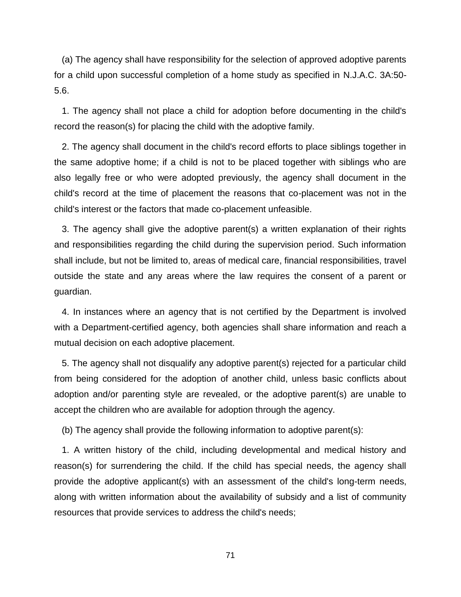(a) The agency shall have responsibility for the selection of approved adoptive parents for a child upon successful completion of a home study as specified in N.J.A.C. 3A:50- 5.6.

 1. The agency shall not place a child for adoption before documenting in the child's record the reason(s) for placing the child with the adoptive family.

 2. The agency shall document in the child's record efforts to place siblings together in the same adoptive home; if a child is not to be placed together with siblings who are also legally free or who were adopted previously, the agency shall document in the child's record at the time of placement the reasons that co-placement was not in the child's interest or the factors that made co-placement unfeasible.

 3. The agency shall give the adoptive parent(s) a written explanation of their rights and responsibilities regarding the child during the supervision period. Such information shall include, but not be limited to, areas of medical care, financial responsibilities, travel outside the state and any areas where the law requires the consent of a parent or guardian.

 4. In instances where an agency that is not certified by the Department is involved with a Department-certified agency, both agencies shall share information and reach a mutual decision on each adoptive placement.

 5. The agency shall not disqualify any adoptive parent(s) rejected for a particular child from being considered for the adoption of another child, unless basic conflicts about adoption and/or parenting style are revealed, or the adoptive parent(s) are unable to accept the children who are available for adoption through the agency.

(b) The agency shall provide the following information to adoptive parent(s):

 1. A written history of the child, including developmental and medical history and reason(s) for surrendering the child. If the child has special needs, the agency shall provide the adoptive applicant(s) with an assessment of the child's long-term needs, along with written information about the availability of subsidy and a list of community resources that provide services to address the child's needs;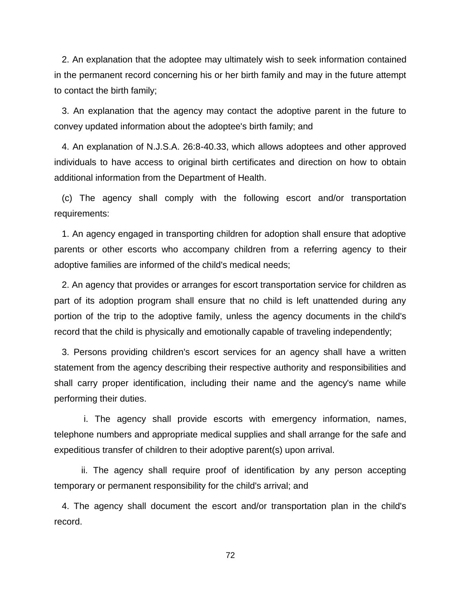2. An explanation that the adoptee may ultimately wish to seek information contained in the permanent record concerning his or her birth family and may in the future attempt to contact the birth family;

 3. An explanation that the agency may contact the adoptive parent in the future to convey updated information about the adoptee's birth family; and

 4. An explanation of N.J.S.A. 26:8-40.33, which allows adoptees and other approved individuals to have access to original birth certificates and direction on how to obtain additional information from the Department of Health.

 (c) The agency shall comply with the following escort and/or transportation requirements:

 1. An agency engaged in transporting children for adoption shall ensure that adoptive parents or other escorts who accompany children from a referring agency to their adoptive families are informed of the child's medical needs;

 2. An agency that provides or arranges for escort transportation service for children as part of its adoption program shall ensure that no child is left unattended during any portion of the trip to the adoptive family, unless the agency documents in the child's record that the child is physically and emotionally capable of traveling independently;

 3. Persons providing children's escort services for an agency shall have a written statement from the agency describing their respective authority and responsibilities and shall carry proper identification, including their name and the agency's name while performing their duties.

 i. The agency shall provide escorts with emergency information, names, telephone numbers and appropriate medical supplies and shall arrange for the safe and expeditious transfer of children to their adoptive parent(s) upon arrival.

 ii. The agency shall require proof of identification by any person accepting temporary or permanent responsibility for the child's arrival; and

 4. The agency shall document the escort and/or transportation plan in the child's record.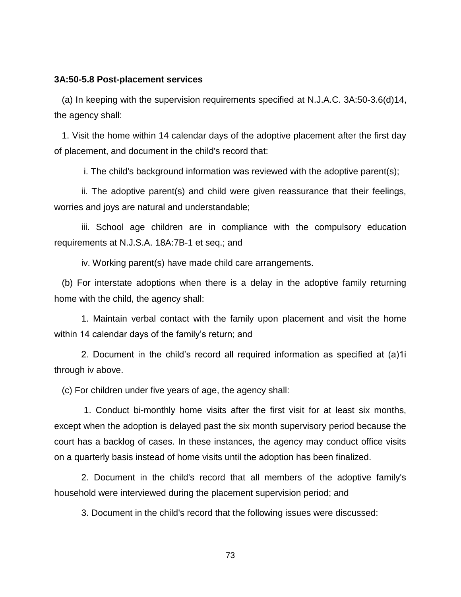## **3A:50-5.8 Post-placement services**

 (a) In keeping with the supervision requirements specified at N.J.A.C. 3A:50-3.6(d)14, the agency shall:

 1. Visit the home within 14 calendar days of the adoptive placement after the first day of placement, and document in the child's record that:

i. The child's background information was reviewed with the adoptive parent(s);

 ii. The adoptive parent(s) and child were given reassurance that their feelings, worries and joys are natural and understandable;

 iii. School age children are in compliance with the compulsory education requirements at N.J.S.A. 18A:7B-1 et seq.; and

iv. Working parent(s) have made child care arrangements.

 (b) For interstate adoptions when there is a delay in the adoptive family returning home with the child, the agency shall:

1. Maintain verbal contact with the family upon placement and visit the home within 14 calendar days of the family's return; and

2. Document in the child's record all required information as specified at (a)1i through iv above.

(c) For children under five years of age, the agency shall:

 1. Conduct bi-monthly home visits after the first visit for at least six months, except when the adoption is delayed past the six month supervisory period because the court has a backlog of cases. In these instances, the agency may conduct office visits on a quarterly basis instead of home visits until the adoption has been finalized.

 2. Document in the child's record that all members of the adoptive family's household were interviewed during the placement supervision period; and

3. Document in the child's record that the following issues were discussed: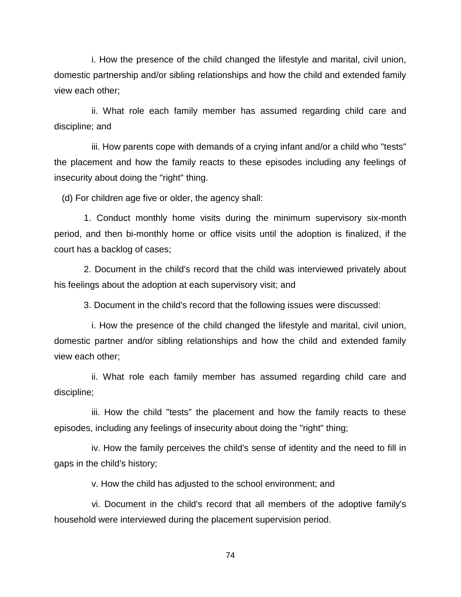i. How the presence of the child changed the lifestyle and marital, civil union, domestic partnership and/or sibling relationships and how the child and extended family view each other;

ii. What role each family member has assumed regarding child care and discipline; and

iii. How parents cope with demands of a crying infant and/or a child who "tests" the placement and how the family reacts to these episodes including any feelings of insecurity about doing the "right" thing.

(d) For children age five or older, the agency shall:

 1. Conduct monthly home visits during the minimum supervisory six-month period, and then bi-monthly home or office visits until the adoption is finalized, if the court has a backlog of cases;

 2. Document in the child's record that the child was interviewed privately about his feelings about the adoption at each supervisory visit; and

3. Document in the child's record that the following issues were discussed:

i. How the presence of the child changed the lifestyle and marital, civil union, domestic partner and/or sibling relationships and how the child and extended family view each other;

ii. What role each family member has assumed regarding child care and discipline;

iii. How the child "tests" the placement and how the family reacts to these episodes, including any feelings of insecurity about doing the "right" thing;

iv. How the family perceives the child's sense of identity and the need to fill in gaps in the child's history;

v. How the child has adjusted to the school environment; and

vi. Document in the child's record that all members of the adoptive family's household were interviewed during the placement supervision period.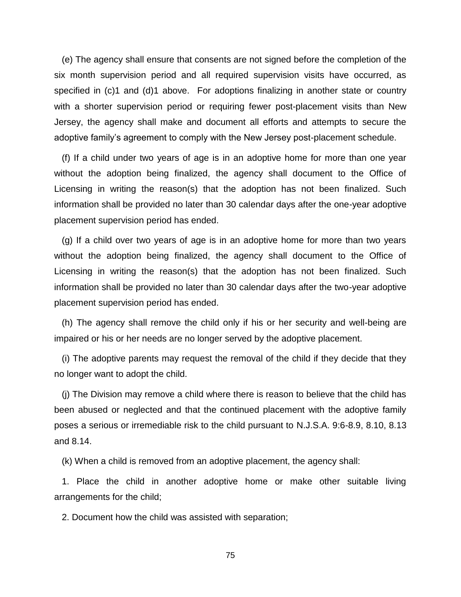(e) The agency shall ensure that consents are not signed before the completion of the six month supervision period and all required supervision visits have occurred, as specified in (c)1 and (d)1 above. For adoptions finalizing in another state or country with a shorter supervision period or requiring fewer post-placement visits than New Jersey, the agency shall make and document all efforts and attempts to secure the adoptive family's agreement to comply with the New Jersey post-placement schedule.

 (f) If a child under two years of age is in an adoptive home for more than one year without the adoption being finalized, the agency shall document to the Office of Licensing in writing the reason(s) that the adoption has not been finalized. Such information shall be provided no later than 30 calendar days after the one-year adoptive placement supervision period has ended.

 (g) If a child over two years of age is in an adoptive home for more than two years without the adoption being finalized, the agency shall document to the Office of Licensing in writing the reason(s) that the adoption has not been finalized. Such information shall be provided no later than 30 calendar days after the two-year adoptive placement supervision period has ended.

 (h) The agency shall remove the child only if his or her security and well-being are impaired or his or her needs are no longer served by the adoptive placement.

 (i) The adoptive parents may request the removal of the child if they decide that they no longer want to adopt the child.

 (j) The Division may remove a child where there is reason to believe that the child has been abused or neglected and that the continued placement with the adoptive family poses a serious or irremediable risk to the child pursuant to N.J.S.A. 9:6-8.9, 8.10, 8.13 and 8.14.

(k) When a child is removed from an adoptive placement, the agency shall:

 1. Place the child in another adoptive home or make other suitable living arrangements for the child;

2. Document how the child was assisted with separation;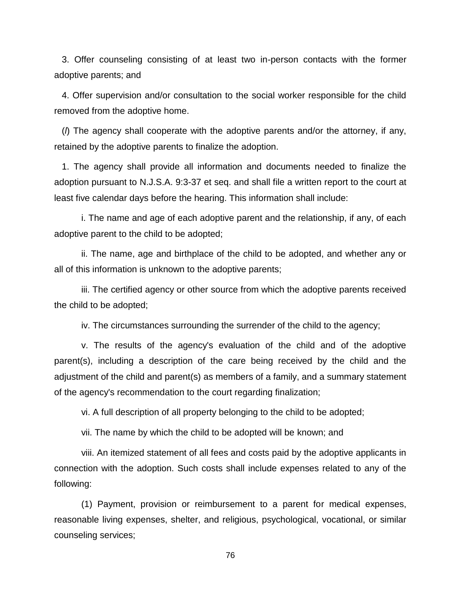3. Offer counseling consisting of at least two in-person contacts with the former adoptive parents; and

 4. Offer supervision and/or consultation to the social worker responsible for the child removed from the adoptive home.

 (*l*) The agency shall cooperate with the adoptive parents and/or the attorney, if any, retained by the adoptive parents to finalize the adoption.

 1. The agency shall provide all information and documents needed to finalize the adoption pursuant to N.J.S.A. 9:3-37 et seq. and shall file a written report to the court at least five calendar days before the hearing. This information shall include:

 i. The name and age of each adoptive parent and the relationship, if any, of each adoptive parent to the child to be adopted;

 ii. The name, age and birthplace of the child to be adopted, and whether any or all of this information is unknown to the adoptive parents;

 iii. The certified agency or other source from which the adoptive parents received the child to be adopted;

iv. The circumstances surrounding the surrender of the child to the agency;

 v. The results of the agency's evaluation of the child and of the adoptive parent(s), including a description of the care being received by the child and the adjustment of the child and parent(s) as members of a family, and a summary statement of the agency's recommendation to the court regarding finalization;

vi. A full description of all property belonging to the child to be adopted;

vii. The name by which the child to be adopted will be known; and

 viii. An itemized statement of all fees and costs paid by the adoptive applicants in connection with the adoption. Such costs shall include expenses related to any of the following:

 (1) Payment, provision or reimbursement to a parent for medical expenses, reasonable living expenses, shelter, and religious, psychological, vocational, or similar counseling services;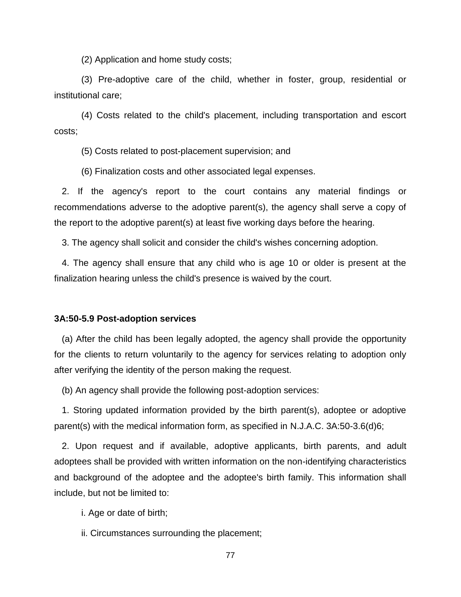(2) Application and home study costs;

 (3) Pre-adoptive care of the child, whether in foster, group, residential or institutional care;

 (4) Costs related to the child's placement, including transportation and escort costs;

(5) Costs related to post-placement supervision; and

(6) Finalization costs and other associated legal expenses.

 2. If the agency's report to the court contains any material findings or recommendations adverse to the adoptive parent(s), the agency shall serve a copy of the report to the adoptive parent(s) at least five working days before the hearing.

3. The agency shall solicit and consider the child's wishes concerning adoption.

 4. The agency shall ensure that any child who is age 10 or older is present at the finalization hearing unless the child's presence is waived by the court.

## **3A:50-5.9 Post-adoption services**

 (a) After the child has been legally adopted, the agency shall provide the opportunity for the clients to return voluntarily to the agency for services relating to adoption only after verifying the identity of the person making the request.

(b) An agency shall provide the following post-adoption services:

 1. Storing updated information provided by the birth parent(s), adoptee or adoptive parent(s) with the medical information form, as specified in N.J.A.C. 3A:50-3.6(d)6;

 2. Upon request and if available, adoptive applicants, birth parents, and adult adoptees shall be provided with written information on the non-identifying characteristics and background of the adoptee and the adoptee's birth family. This information shall include, but not be limited to:

i. Age or date of birth;

ii. Circumstances surrounding the placement;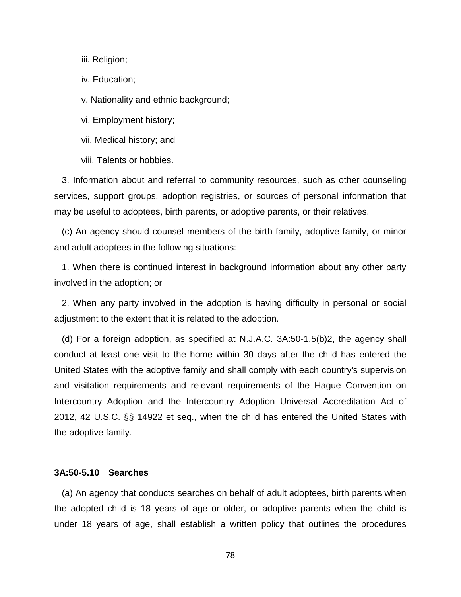iii. Religion;

iv. Education;

v. Nationality and ethnic background;

vi. Employment history;

vii. Medical history; and

viii. Talents or hobbies.

 3. Information about and referral to community resources, such as other counseling services, support groups, adoption registries, or sources of personal information that may be useful to adoptees, birth parents, or adoptive parents, or their relatives.

 (c) An agency should counsel members of the birth family, adoptive family, or minor and adult adoptees in the following situations:

 1. When there is continued interest in background information about any other party involved in the adoption; or

 2. When any party involved in the adoption is having difficulty in personal or social adjustment to the extent that it is related to the adoption.

 (d) For a foreign adoption, as specified at N.J.A.C. 3A:50-1.5(b)2, the agency shall conduct at least one visit to the home within 30 days after the child has entered the United States with the adoptive family and shall comply with each country's supervision and visitation requirements and relevant requirements of the Hague Convention on Intercountry Adoption and the Intercountry Adoption Universal Accreditation Act of 2012, 42 U.S.C. §§ 14922 et seq., when the child has entered the United States with the adoptive family.

## **3A:50-5.10 Searches**

 (a) An agency that conducts searches on behalf of adult adoptees, birth parents when the adopted child is 18 years of age or older, or adoptive parents when the child is under 18 years of age, shall establish a written policy that outlines the procedures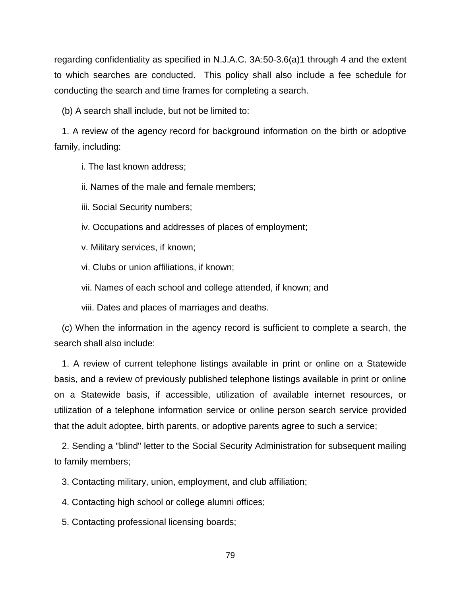regarding confidentiality as specified in N.J.A.C. 3A:50-3.6(a)1 through 4 and the extent to which searches are conducted. This policy shall also include a fee schedule for conducting the search and time frames for completing a search.

(b) A search shall include, but not be limited to:

 1. A review of the agency record for background information on the birth or adoptive family, including:

i. The last known address;

ii. Names of the male and female members;

iii. Social Security numbers;

iv. Occupations and addresses of places of employment;

v. Military services, if known;

vi. Clubs or union affiliations, if known;

vii. Names of each school and college attended, if known; and

viii. Dates and places of marriages and deaths.

 (c) When the information in the agency record is sufficient to complete a search, the search shall also include:

 1. A review of current telephone listings available in print or online on a Statewide basis, and a review of previously published telephone listings available in print or online on a Statewide basis, if accessible, utilization of available internet resources, or utilization of a telephone information service or online person search service provided that the adult adoptee, birth parents, or adoptive parents agree to such a service;

 2. Sending a "blind" letter to the Social Security Administration for subsequent mailing to family members;

3. Contacting military, union, employment, and club affiliation;

4. Contacting high school or college alumni offices;

5. Contacting professional licensing boards;